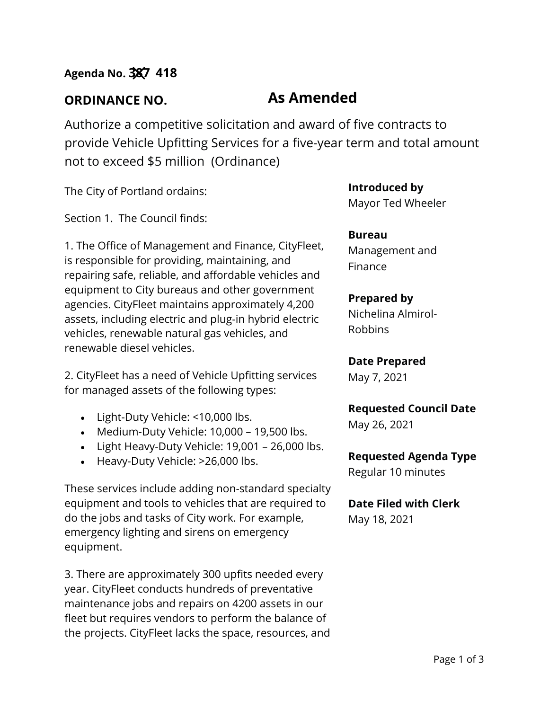**ORDINANCE NO. As Amended**

Authorize a competitive solicitation and award of five contracts to provide Vehicle Upfitting Services for a five-year term and total amount not to exceed \$5 million (Ordinance)

The City of Portland ordains:

Section 1. The Council finds:

1. The Office of Management and Finance, CityFleet, is responsible for providing, maintaining, and repairing safe, reliable, and affordable vehicles and equipment to City bureaus and other government agencies. CityFleet maintains approximately 4,200 assets, including electric and plug‐in hybrid electric vehicles, renewable natural gas vehicles, and renewable diesel vehicles.

2. CityFleet has a need of Vehicle Upfitting services for managed assets of the following types:

- Light-Duty Vehicle: <10,000 lbs.
- Medium-Duty Vehicle: 10,000 19,500 lbs.
- Light Heavy-Duty Vehicle: 19,001 26,000 lbs.
- Heavy-Duty Vehicle: >26,000 lbs.

These services include adding non-standard specialty equipment and tools to vehicles that are required to do the jobs and tasks of City work. For example, emergency lighting and sirens on emergency equipment.

3. There are approximately 300 upfits needed every year. CityFleet conducts hundreds of preventative maintenance jobs and repairs on 4200 assets in our fleet but requires vendors to perform the balance of the projects. CityFleet lacks the space, resources, and **Introduced by** Mayor Ted Wheeler

**Bureau** Management and Finance

# **Prepared by**

Nichelina Almirol-Robbins

**Date Prepared**

May 7, 2021

**Requested Council Date**

May 26, 2021

## **Requested Agenda Type**

Regular 10 minutes

**Date Filed with Clerk** 

May 18, 2021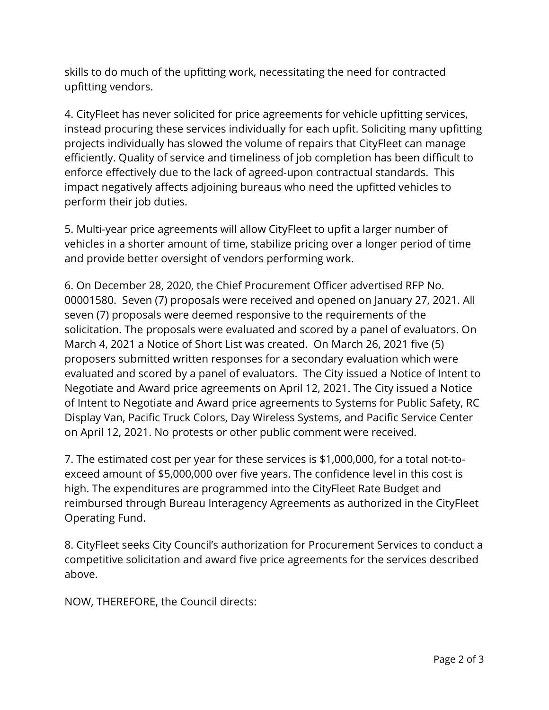skills to do much of the upfitting work, necessitating the need for contracted upfitting vendors.

4. CityFleet has never solicited for price agreements for vehicle upfitting services, instead procuring these services individually for each upfit. Soliciting many upfitting projects individually has slowed the volume of repairs that CityFleet can manage efficiently. Quality of service and timeliness of job completion has been difficult to enforce effectively due to the lack of agreed-upon contractual standards. This impact negatively affects adjoining bureaus who need the upfitted vehicles to perform their job duties.

5. Multi-year price agreements will allow CityFleet to upfit a larger number of vehicles in a shorter amount of time, stabilize pricing over a longer period of time and provide better oversight of vendors performing work.

6. On December 28, 2020, the Chief Procurement Officer advertised RFP No. 00001580. Seven (7) proposals were received and opened on January 27, 2021. All seven (7) proposals were deemed responsive to the requirements of the solicitation. The proposals were evaluated and scored by a panel of evaluators. On March 4, 2021 a Notice of Short List was created. On March 26, 2021 five (5) proposers submitted written responses for a secondary evaluation which were evaluated and scored by a panel of evaluators. The City issued a Notice of Intent to Negotiate and Award price agreements on April 12, 2021. The City issued a Notice of Intent to Negotiate and Award price agreements to Systems for Public Safety, RC Display Van, Pacific Truck Colors, Day Wireless Systems, and Pacific Service Center on April 12, 2021. No protests or other public comment were received.

7. The estimated cost per year for these services is \$1,000,000, for a total not-toexceed amount of \$5,000,000 over five years. The confidence level in this cost is high. The expenditures are programmed into the CityFleet Rate Budget and reimbursed through Bureau Interagency Agreements as authorized in the CityFleet Operating Fund.

8. CityFleet seeks City Council's authorization for Procurement Services to conduct a competitive solicitation and award five price agreements for the services described above.

NOW, THEREFORE, the Council directs: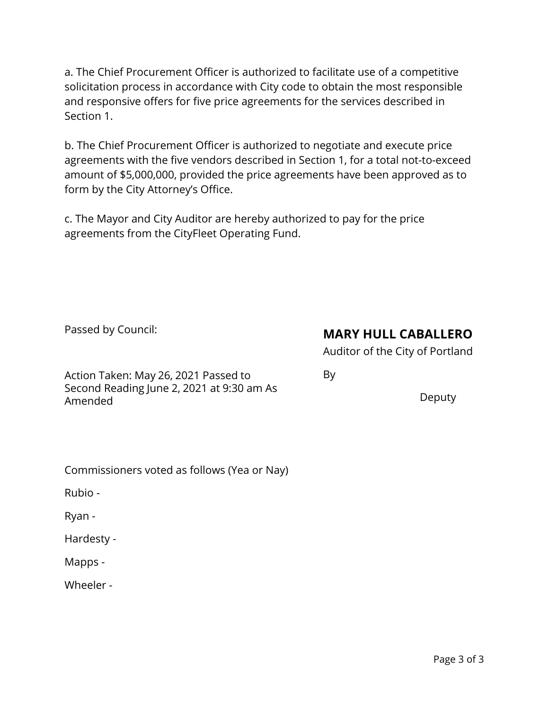a. The Chief Procurement Officer is authorized to facilitate use of a competitive solicitation process in accordance with City code to obtain the most responsible and responsive offers for five price agreements for the services described in Section 1.

b. The Chief Procurement Officer is authorized to negotiate and execute price agreements with the five vendors described in Section 1, for a total not-to-exceed amount of \$5,000,000, provided the price agreements have been approved as to form by the City Attorney's Office.

c. The Mayor and City Auditor are hereby authorized to pay for the price agreements from the CityFleet Operating Fund.

Passed by Council:

# **MARY HULL CABALLERO**

Auditor of the City of Portland

By

Action Taken: May 26, 2021 Passed to Second Reading June 2, 2021 at 9:30 am As Amended

Deputy

Commissioners voted as follows (Yea or Nay)

Rubio -

Ryan -

Hardesty -

Mapps -

Wheeler -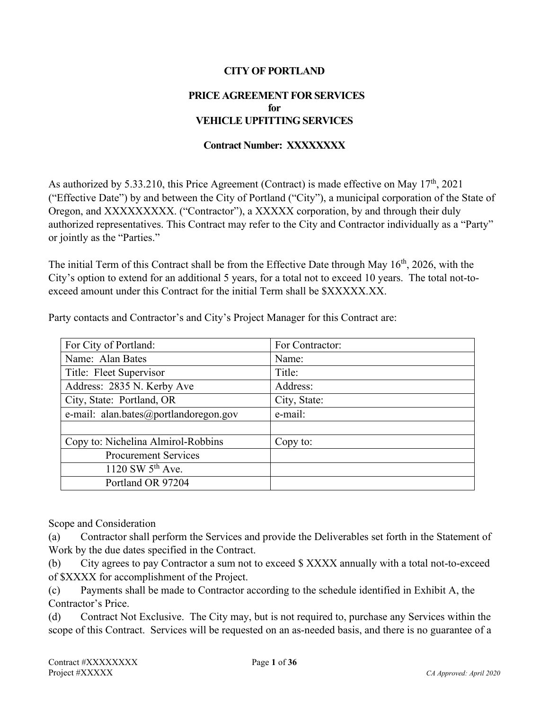#### **CITY OF PORTLAND**

#### **PRICE AGREEMENT FOR SERVICES for VEHICLE UPFITTING SERVICES**

#### **Contract Number: XXXXXXXX**

As authorized by 5.33.210, this Price Agreement (Contract) is made effective on May  $17<sup>th</sup>$ , 2021 ("Effective Date") by and between the City of Portland ("City"), a municipal corporation of the State of Oregon, and XXXXXXXXX. ("Contractor"), a XXXXX corporation, by and through their duly authorized representatives. This Contract may refer to the City and Contractor individually as a "Party" or jointly as the "Parties."

The initial Term of this Contract shall be from the Effective Date through May 16<sup>th</sup>, 2026, with the City's option to extend for an additional 5 years, for a total not to exceed 10 years. The total not-toexceed amount under this Contract for the initial Term shall be \$XXXXX.XX.

| For City of Portland:                 | For Contractor: |
|---------------------------------------|-----------------|
| Name: Alan Bates                      | Name:           |
| Title: Fleet Supervisor               | Title:          |
| Address: 2835 N. Kerby Ave            | Address:        |
| City, State: Portland, OR             | City, State:    |
| e-mail: alan.bates@portlandoregon.gov | e-mail:         |
|                                       |                 |
| Copy to: Nichelina Almirol-Robbins    | Copy to:        |
| <b>Procurement Services</b>           |                 |
| 1120 SW $5^{th}$ Ave.                 |                 |
| Portland OR 97204                     |                 |

Party contacts and Contractor's and City's Project Manager for this Contract are:

Scope and Consideration

(a) Contractor shall perform the Services and provide the Deliverables set forth in the Statement of Work by the due dates specified in the Contract.

(b) City agrees to pay Contractor a sum not to exceed \$ XXXX annually with a total not-to-exceed of \$XXXX for accomplishment of the Project.

(c) Payments shall be made to Contractor according to the schedule identified in Exhibit A, the Contractor's Price.

(d) Contract Not Exclusive. The City may, but is not required to, purchase any Services within the scope of this Contract. Services will be requested on an as-needed basis, and there is no guarantee of a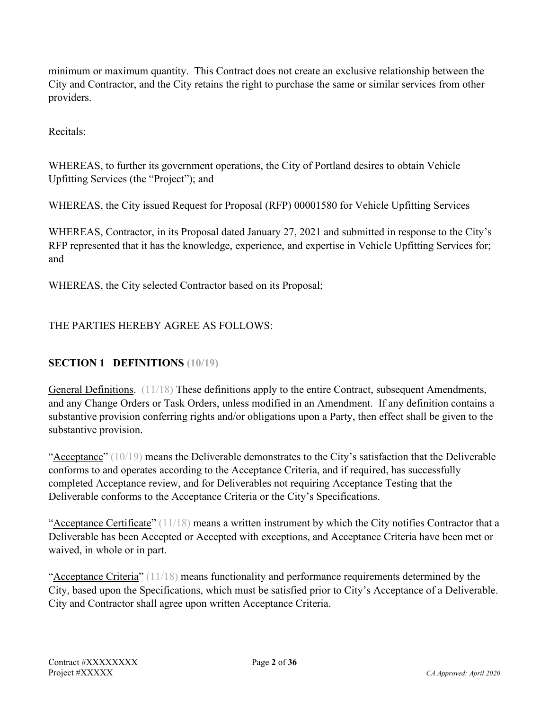minimum or maximum quantity. This Contract does not create an exclusive relationship between the City and Contractor, and the City retains the right to purchase the same or similar services from other providers.

Recitals:

WHEREAS, to further its government operations, the City of Portland desires to obtain Vehicle Upfitting Services (the "Project"); and

WHEREAS, the City issued Request for Proposal (RFP) 00001580 for Vehicle Upfitting Services

WHEREAS, Contractor, in its Proposal dated January 27, 2021 and submitted in response to the City's RFP represented that it has the knowledge, experience, and expertise in Vehicle Upfitting Services for; and

WHEREAS, the City selected Contractor based on its Proposal;

## THE PARTIES HEREBY AGREE AS FOLLOWS:

## **SECTION 1 DEFINITIONS (10/19)**

General Definitions. (11/18) These definitions apply to the entire Contract, subsequent Amendments, and any Change Orders or Task Orders, unless modified in an Amendment. If any definition contains a substantive provision conferring rights and/or obligations upon a Party, then effect shall be given to the substantive provision.

"Acceptance"  $(10/19)$  means the Deliverable demonstrates to the City's satisfaction that the Deliverable conforms to and operates according to the Acceptance Criteria, and if required, has successfully completed Acceptance review, and for Deliverables not requiring Acceptance Testing that the Deliverable conforms to the Acceptance Criteria or the City's Specifications.

"Acceptance Certificate" (11/18) means a written instrument by which the City notifies Contractor that a Deliverable has been Accepted or Accepted with exceptions, and Acceptance Criteria have been met or waived, in whole or in part.

"Acceptance Criteria" (11/18) means functionality and performance requirements determined by the City, based upon the Specifications, which must be satisfied prior to City's Acceptance of a Deliverable. City and Contractor shall agree upon written Acceptance Criteria.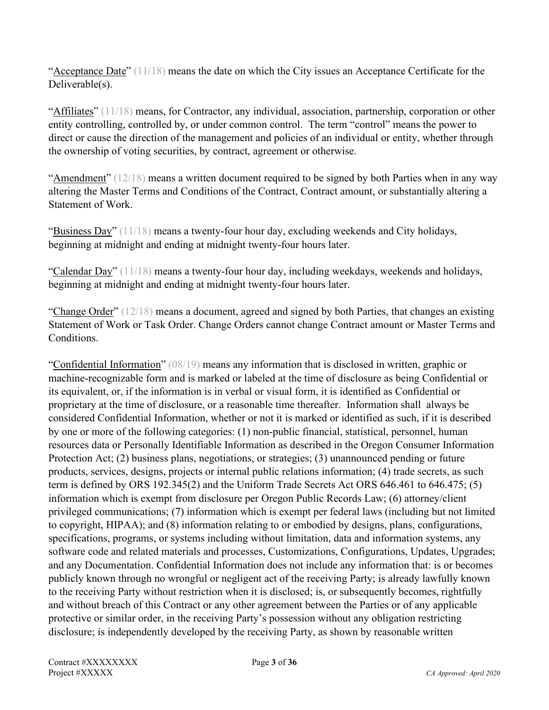"Acceptance Date"  $(11/18)$  means the date on which the City issues an Acceptance Certificate for the Deliverable(s).

"Affiliates"  $(11/18)$  means, for Contractor, any individual, association, partnership, corporation or other entity controlling, controlled by, or under common control. The term "control" means the power to direct or cause the direction of the management and policies of an individual or entity, whether through the ownership of voting securities, by contract, agreement or otherwise.

"Amendment"  $(12/18)$  means a written document required to be signed by both Parties when in any way altering the Master Terms and Conditions of the Contract, Contract amount, or substantially altering a Statement of Work.

"Business Day" (11/18) means a twenty-four hour day, excluding weekends and City holidays, beginning at midnight and ending at midnight twenty-four hours later.

"Calendar Day"  $(11/18)$  means a twenty-four hour day, including weekdays, weekends and holidays, beginning at midnight and ending at midnight twenty-four hours later.

"Change Order"  $(12/18)$  means a document, agreed and signed by both Parties, that changes an existing Statement of Work or Task Order. Change Orders cannot change Contract amount or Master Terms and Conditions.

"Confidential Information" (08/19) means any information that is disclosed in written, graphic or machine-recognizable form and is marked or labeled at the time of disclosure as being Confidential or its equivalent, or, if the information is in verbal or visual form, it is identified as Confidential or proprietary at the time of disclosure, or a reasonable time thereafter. Information shall always be considered Confidential Information, whether or not it is marked or identified as such, if it is described by one or more of the following categories: (1) non-public financial, statistical, personnel, human resources data or Personally Identifiable Information as described in the Oregon Consumer Information Protection Act; (2) business plans, negotiations, or strategies; (3) unannounced pending or future products, services, designs, projects or internal public relations information; (4) trade secrets, as such term is defined by ORS 192.345(2) and the Uniform Trade Secrets Act ORS 646.461 to 646.475; (5) information which is exempt from disclosure per Oregon Public Records Law; (6) attorney/client privileged communications; (7) information which is exempt per federal laws (including but not limited to copyright, HIPAA); and (8) information relating to or embodied by designs, plans, configurations, specifications, programs, or systems including without limitation, data and information systems, any software code and related materials and processes, Customizations, Configurations, Updates, Upgrades; and any Documentation. Confidential Information does not include any information that: is or becomes publicly known through no wrongful or negligent act of the receiving Party; is already lawfully known to the receiving Party without restriction when it is disclosed; is, or subsequently becomes, rightfully and without breach of this Contract or any other agreement between the Parties or of any applicable protective or similar order, in the receiving Party's possession without any obligation restricting disclosure; is independently developed by the receiving Party, as shown by reasonable written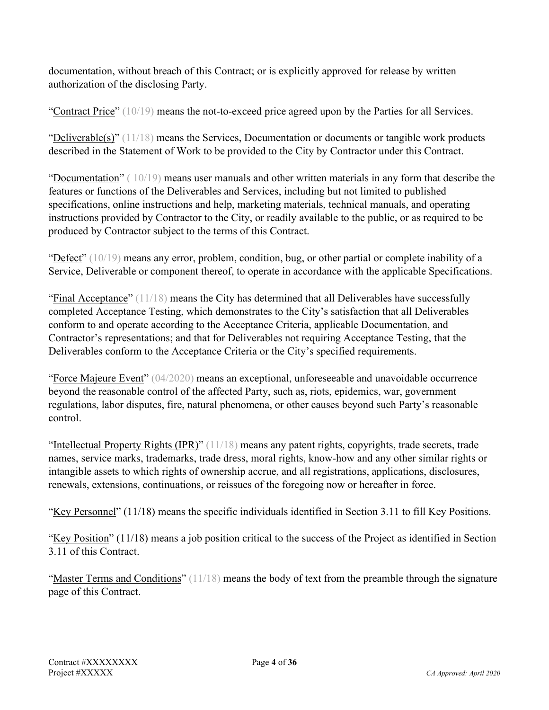documentation, without breach of this Contract; or is explicitly approved for release by written authorization of the disclosing Party.

"Contract Price" (10/19) means the not-to-exceed price agreed upon by the Parties for all Services.

" $Deliverable(s)$ " (11/18) means the Services, Documentation or documents or tangible work products described in the Statement of Work to be provided to the City by Contractor under this Contract.

"Documentation"  $(10/19)$  means user manuals and other written materials in any form that describe the features or functions of the Deliverables and Services, including but not limited to published specifications, online instructions and help, marketing materials, technical manuals, and operating instructions provided by Contractor to the City, or readily available to the public, or as required to be produced by Contractor subject to the terms of this Contract.

"Defect" (10/19) means any error, problem, condition, bug, or other partial or complete inability of a Service, Deliverable or component thereof, to operate in accordance with the applicable Specifications.

"Final Acceptance"  $(11/18)$  means the City has determined that all Deliverables have successfully completed Acceptance Testing, which demonstrates to the City's satisfaction that all Deliverables conform to and operate according to the Acceptance Criteria, applicable Documentation, and Contractor's representations; and that for Deliverables not requiring Acceptance Testing, that the Deliverables conform to the Acceptance Criteria or the City's specified requirements.

"Force Majeure Event" (04/2020) means an exceptional, unforeseeable and unavoidable occurrence beyond the reasonable control of the affected Party, such as, riots, epidemics, war, government regulations, labor disputes, fire, natural phenomena, or other causes beyond such Party's reasonable control.

"Intellectual Property Rights (IPR)" (11/18) means any patent rights, copyrights, trade secrets, trade names, service marks, trademarks, trade dress, moral rights, know-how and any other similar rights or intangible assets to which rights of ownership accrue, and all registrations, applications, disclosures, renewals, extensions, continuations, or reissues of the foregoing now or hereafter in force.

"Key Personnel" (11/18) means the specific individuals identified in Section 3.11 to fill Key Positions.

"Key Position" (11/18) means a job position critical to the success of the Project as identified in Section 3.11 of this Contract.

"Master Terms and Conditions"  $(11/18)$  means the body of text from the preamble through the signature page of this Contract.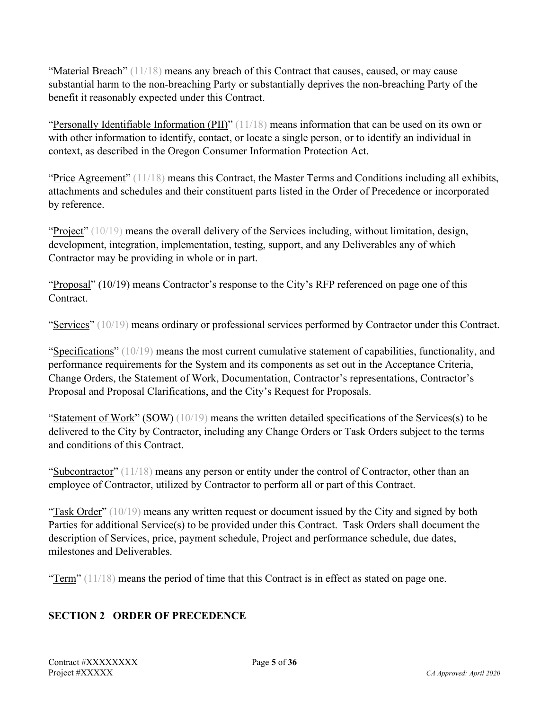"Material Breach"  $(11/18)$  means any breach of this Contract that causes, caused, or may cause substantial harm to the non-breaching Party or substantially deprives the non-breaching Party of the benefit it reasonably expected under this Contract.

"Personally Identifiable Information (PII)" (11/18) means information that can be used on its own or with other information to identify, contact, or locate a single person, or to identify an individual in context, as described in the Oregon Consumer Information Protection Act.

"Price Agreement"  $(11/18)$  means this Contract, the Master Terms and Conditions including all exhibits, attachments and schedules and their constituent parts listed in the Order of Precedence or incorporated by reference.

"Project" (10/19) means the overall delivery of the Services including, without limitation, design, development, integration, implementation, testing, support, and any Deliverables any of which Contractor may be providing in whole or in part.

"Proposal" (10/19) means Contractor's response to the City's RFP referenced on page one of this Contract.

"Services" (10/19) means ordinary or professional services performed by Contractor under this Contract.

"Specifications"  $(10/19)$  means the most current cumulative statement of capabilities, functionality, and performance requirements for the System and its components as set out in the Acceptance Criteria, Change Orders, the Statement of Work, Documentation, Contractor's representations, Contractor's Proposal and Proposal Clarifications, and the City's Request for Proposals.

"Statement of Work" (SOW)  $(10/19)$  means the written detailed specifications of the Services(s) to be delivered to the City by Contractor, including any Change Orders or Task Orders subject to the terms and conditions of this Contract.

"Subcontractor"  $(11/18)$  means any person or entity under the control of Contractor, other than an employee of Contractor, utilized by Contractor to perform all or part of this Contract.

" $Task Order" (10/19)$  means any written request or document issued by the City and signed by both Parties for additional Service(s) to be provided under this Contract. Task Orders shall document the description of Services, price, payment schedule, Project and performance schedule, due dates, milestones and Deliverables.

"Term"  $(11/18)$  means the period of time that this Contract is in effect as stated on page one.

## **SECTION 2 ORDER OF PRECEDENCE**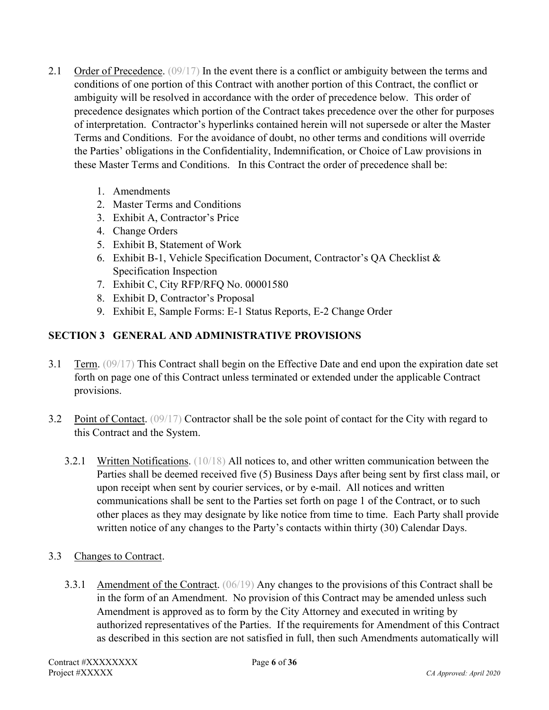- 2.1 Order of Precedence. (09/17) In the event there is a conflict or ambiguity between the terms and conditions of one portion of this Contract with another portion of this Contract, the conflict or ambiguity will be resolved in accordance with the order of precedence below. This order of precedence designates which portion of the Contract takes precedence over the other for purposes of interpretation. Contractor's hyperlinks contained herein will not supersede or alter the Master Terms and Conditions. For the avoidance of doubt, no other terms and conditions will override the Parties' obligations in the Confidentiality, Indemnification, or Choice of Law provisions in these Master Terms and Conditions. In this Contract the order of precedence shall be:
	- 1. Amendments
	- 2. Master Terms and Conditions
	- 3. Exhibit A, Contractor's Price
	- 4. Change Orders
	- 5. Exhibit B, Statement of Work
	- 6. Exhibit B-1, Vehicle Specification Document, Contractor's QA Checklist & Specification Inspection
	- 7. Exhibit C, City RFP/RFQ No. 00001580
	- 8. Exhibit D, Contractor's Proposal
	- 9. Exhibit E, Sample Forms: E-1 Status Reports, E-2 Change Order

## **SECTION 3 GENERAL AND ADMINISTRATIVE PROVISIONS**

- 3.1 Term. (09/17) This Contract shall begin on the Effective Date and end upon the expiration date set forth on page one of this Contract unless terminated or extended under the applicable Contract provisions.
- 3.2 Point of Contact. (09/17) Contractor shall be the sole point of contact for the City with regard to this Contract and the System.
	- 3.2.1 Written Notifications. (10/18) All notices to, and other written communication between the Parties shall be deemed received five (5) Business Days after being sent by first class mail, or upon receipt when sent by courier services, or by e-mail. All notices and written communications shall be sent to the Parties set forth on page 1 of the Contract, or to such other places as they may designate by like notice from time to time. Each Party shall provide written notice of any changes to the Party's contacts within thirty (30) Calendar Days.
- 3.3 Changes to Contract.
	- 3.3.1 Amendment of the Contract. (06/19) Any changes to the provisions of this Contract shall be in the form of an Amendment. No provision of this Contract may be amended unless such Amendment is approved as to form by the City Attorney and executed in writing by authorized representatives of the Parties. If the requirements for Amendment of this Contract as described in this section are not satisfied in full, then such Amendments automatically will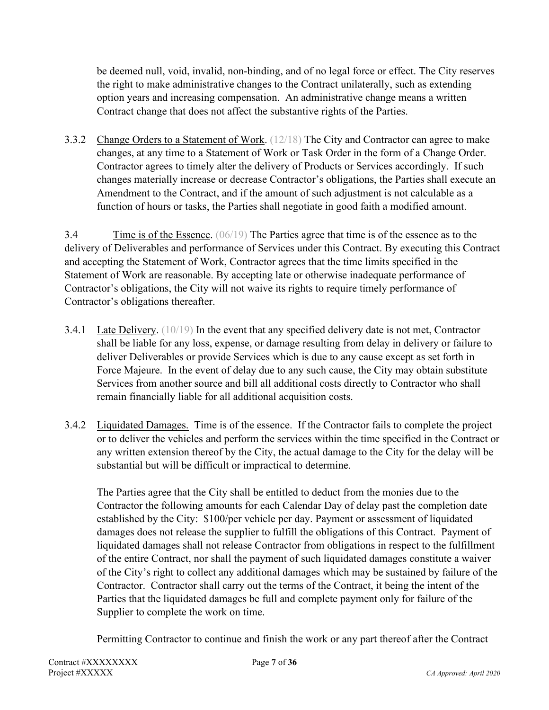be deemed null, void, invalid, non-binding, and of no legal force or effect. The City reserves the right to make administrative changes to the Contract unilaterally, such as extending option years and increasing compensation. An administrative change means a written Contract change that does not affect the substantive rights of the Parties.

3.3.2 Change Orders to a Statement of Work. (12/18) The City and Contractor can agree to make changes, at any time to a Statement of Work or Task Order in the form of a Change Order. Contractor agrees to timely alter the delivery of Products or Services accordingly. If such changes materially increase or decrease Contractor's obligations, the Parties shall execute an Amendment to the Contract, and if the amount of such adjustment is not calculable as a function of hours or tasks, the Parties shall negotiate in good faith a modified amount.

3.4 Time is of the Essence. (06/19) The Parties agree that time is of the essence as to the delivery of Deliverables and performance of Services under this Contract. By executing this Contract and accepting the Statement of Work, Contractor agrees that the time limits specified in the Statement of Work are reasonable. By accepting late or otherwise inadequate performance of Contractor's obligations, the City will not waive its rights to require timely performance of Contractor's obligations thereafter.

- 3.4.1 Late Delivery. (10/19) In the event that any specified delivery date is not met, Contractor shall be liable for any loss, expense, or damage resulting from delay in delivery or failure to deliver Deliverables or provide Services which is due to any cause except as set forth in Force Majeure. In the event of delay due to any such cause, the City may obtain substitute Services from another source and bill all additional costs directly to Contractor who shall remain financially liable for all additional acquisition costs.
- 3.4.2 Liquidated Damages. Time is of the essence. If the Contractor fails to complete the project or to deliver the vehicles and perform the services within the time specified in the Contract or any written extension thereof by the City, the actual damage to the City for the delay will be substantial but will be difficult or impractical to determine.

The Parties agree that the City shall be entitled to deduct from the monies due to the Contractor the following amounts for each Calendar Day of delay past the completion date established by the City: \$100/per vehicle per day. Payment or assessment of liquidated damages does not release the supplier to fulfill the obligations of this Contract. Payment of liquidated damages shall not release Contractor from obligations in respect to the fulfillment of the entire Contract, nor shall the payment of such liquidated damages constitute a waiver of the City's right to collect any additional damages which may be sustained by failure of the Contractor. Contractor shall carry out the terms of the Contract, it being the intent of the Parties that the liquidated damages be full and complete payment only for failure of the Supplier to complete the work on time.

Permitting Contractor to continue and finish the work or any part thereof after the Contract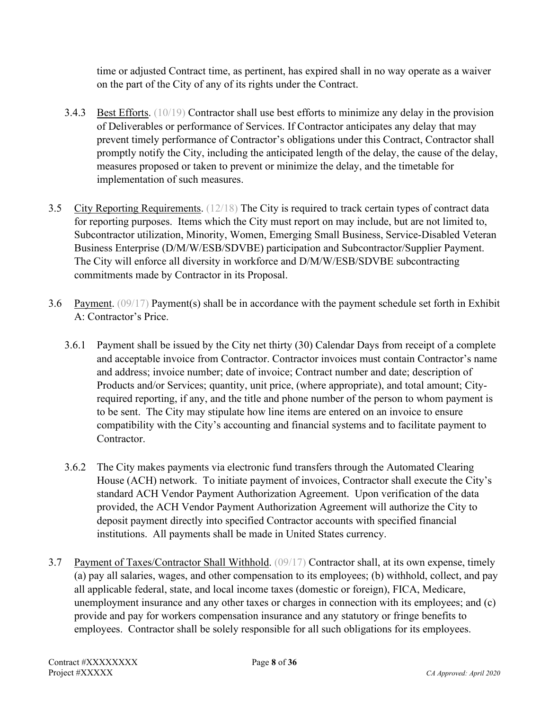time or adjusted Contract time, as pertinent, has expired shall in no way operate as a waiver on the part of the City of any of its rights under the Contract.

- 3.4.3 Best Efforts. (10/19) Contractor shall use best efforts to minimize any delay in the provision of Deliverables or performance of Services. If Contractor anticipates any delay that may prevent timely performance of Contractor's obligations under this Contract, Contractor shall promptly notify the City, including the anticipated length of the delay, the cause of the delay, measures proposed or taken to prevent or minimize the delay, and the timetable for implementation of such measures.
- 3.5 City Reporting Requirements. (12/18) The City is required to track certain types of contract data for reporting purposes. Items which the City must report on may include, but are not limited to, Subcontractor utilization, Minority, Women, Emerging Small Business, Service-Disabled Veteran Business Enterprise (D/M/W/ESB/SDVBE) participation and Subcontractor/Supplier Payment. The City will enforce all diversity in workforce and D/M/W/ESB/SDVBE subcontracting commitments made by Contractor in its Proposal.
- 3.6 Payment. (09/17) Payment(s) shall be in accordance with the payment schedule set forth in Exhibit A: Contractor's Price.
	- 3.6.1 Payment shall be issued by the City net thirty (30) Calendar Days from receipt of a complete and acceptable invoice from Contractor. Contractor invoices must contain Contractor's name and address; invoice number; date of invoice; Contract number and date; description of Products and/or Services; quantity, unit price, (where appropriate), and total amount; Cityrequired reporting, if any, and the title and phone number of the person to whom payment is to be sent. The City may stipulate how line items are entered on an invoice to ensure compatibility with the City's accounting and financial systems and to facilitate payment to Contractor.
	- 3.6.2 The City makes payments via electronic fund transfers through the Automated Clearing House (ACH) network. To initiate payment of invoices, Contractor shall execute the City's standard ACH Vendor Payment Authorization Agreement. Upon verification of the data provided, the ACH Vendor Payment Authorization Agreement will authorize the City to deposit payment directly into specified Contractor accounts with specified financial institutions. All payments shall be made in United States currency.
- 3.7 Payment of Taxes/Contractor Shall Withhold. (09/17) Contractor shall, at its own expense, timely (a) pay all salaries, wages, and other compensation to its employees; (b) withhold, collect, and pay all applicable federal, state, and local income taxes (domestic or foreign), FICA, Medicare, unemployment insurance and any other taxes or charges in connection with its employees; and (c) provide and pay for workers compensation insurance and any statutory or fringe benefits to employees. Contractor shall be solely responsible for all such obligations for its employees.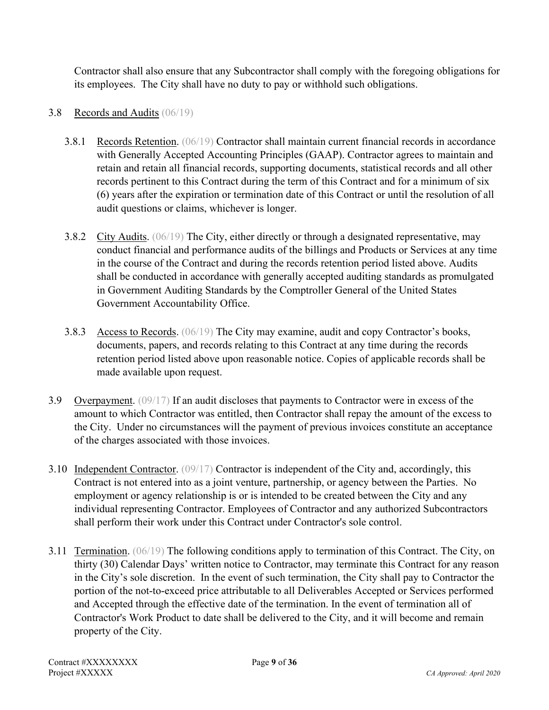Contractor shall also ensure that any Subcontractor shall comply with the foregoing obligations for its employees. The City shall have no duty to pay or withhold such obligations.

#### 3.8 Records and Audits (06/19)

- 3.8.1 Records Retention. (06/19) Contractor shall maintain current financial records in accordance with Generally Accepted Accounting Principles (GAAP). Contractor agrees to maintain and retain and retain all financial records, supporting documents, statistical records and all other records pertinent to this Contract during the term of this Contract and for a minimum of six (6) years after the expiration or termination date of this Contract or until the resolution of all audit questions or claims, whichever is longer.
- 3.8.2 City Audits. (06/19) The City, either directly or through a designated representative, may conduct financial and performance audits of the billings and Products or Services at any time in the course of the Contract and during the records retention period listed above. Audits shall be conducted in accordance with generally accepted auditing standards as promulgated in Government Auditing Standards by the Comptroller General of the United States Government Accountability Office.
- 3.8.3 Access to Records. (06/19) The City may examine, audit and copy Contractor's books, documents, papers, and records relating to this Contract at any time during the records retention period listed above upon reasonable notice. Copies of applicable records shall be made available upon request.
- 3.9 Overpayment. (09/17) If an audit discloses that payments to Contractor were in excess of the amount to which Contractor was entitled, then Contractor shall repay the amount of the excess to the City. Under no circumstances will the payment of previous invoices constitute an acceptance of the charges associated with those invoices.
- 3.10 Independent Contractor. (09/17) Contractor is independent of the City and, accordingly, this Contract is not entered into as a joint venture, partnership, or agency between the Parties. No employment or agency relationship is or is intended to be created between the City and any individual representing Contractor. Employees of Contractor and any authorized Subcontractors shall perform their work under this Contract under Contractor's sole control.
- 3.11 Termination. (06/19) The following conditions apply to termination of this Contract. The City, on thirty (30) Calendar Days' written notice to Contractor, may terminate this Contract for any reason in the City's sole discretion. In the event of such termination, the City shall pay to Contractor the portion of the not-to-exceed price attributable to all Deliverables Accepted or Services performed and Accepted through the effective date of the termination. In the event of termination all of Contractor's Work Product to date shall be delivered to the City, and it will become and remain property of the City.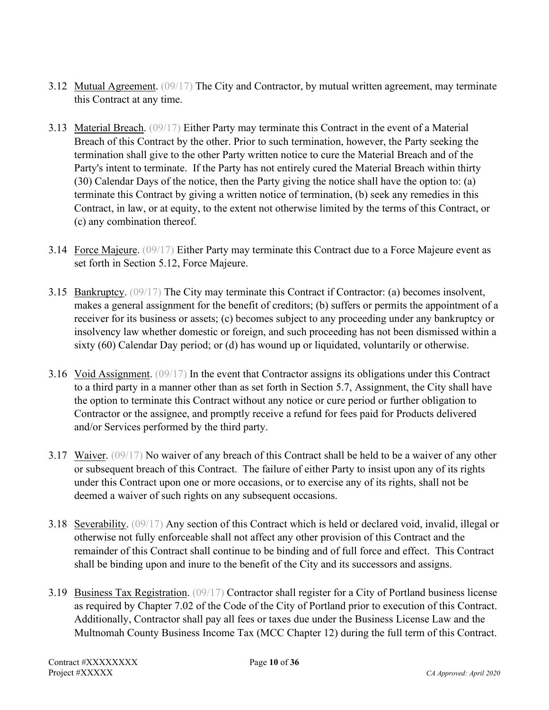- 3.12 Mutual Agreement. (09/17) The City and Contractor, by mutual written agreement, may terminate this Contract at any time.
- 3.13 Material Breach. (09/17) Either Party may terminate this Contract in the event of a Material Breach of this Contract by the other. Prior to such termination, however, the Party seeking the termination shall give to the other Party written notice to cure the Material Breach and of the Party's intent to terminate. If the Party has not entirely cured the Material Breach within thirty (30) Calendar Days of the notice, then the Party giving the notice shall have the option to: (a) terminate this Contract by giving a written notice of termination, (b) seek any remedies in this Contract, in law, or at equity, to the extent not otherwise limited by the terms of this Contract, or (c) any combination thereof.
- 3.14 Force Majeure. (09/17) Either Party may terminate this Contract due to a Force Majeure event as set forth in Section 5.12, Force Majeure.
- 3.15 Bankruptcy. (09/17) The City may terminate this Contract if Contractor: (a) becomes insolvent, makes a general assignment for the benefit of creditors; (b) suffers or permits the appointment of a receiver for its business or assets; (c) becomes subject to any proceeding under any bankruptcy or insolvency law whether domestic or foreign, and such proceeding has not been dismissed within a sixty (60) Calendar Day period; or (d) has wound up or liquidated, voluntarily or otherwise.
- 3.16 Void Assignment. (09/17) In the event that Contractor assigns its obligations under this Contract to a third party in a manner other than as set forth in Section 5.7, Assignment, the City shall have the option to terminate this Contract without any notice or cure period or further obligation to Contractor or the assignee, and promptly receive a refund for fees paid for Products delivered and/or Services performed by the third party.
- 3.17 Waiver. (09/17) No waiver of any breach of this Contract shall be held to be a waiver of any other or subsequent breach of this Contract. The failure of either Party to insist upon any of its rights under this Contract upon one or more occasions, or to exercise any of its rights, shall not be deemed a waiver of such rights on any subsequent occasions.
- 3.18 Severability. (09/17) Any section of this Contract which is held or declared void, invalid, illegal or otherwise not fully enforceable shall not affect any other provision of this Contract and the remainder of this Contract shall continue to be binding and of full force and effect. This Contract shall be binding upon and inure to the benefit of the City and its successors and assigns.
- 3.19 Business Tax Registration. (09/17) Contractor shall register for a City of Portland business license as required by Chapter 7.02 of the Code of the City of Portland prior to execution of this Contract. Additionally, Contractor shall pay all fees or taxes due under the Business License Law and the Multnomah County Business Income Tax (MCC Chapter 12) during the full term of this Contract.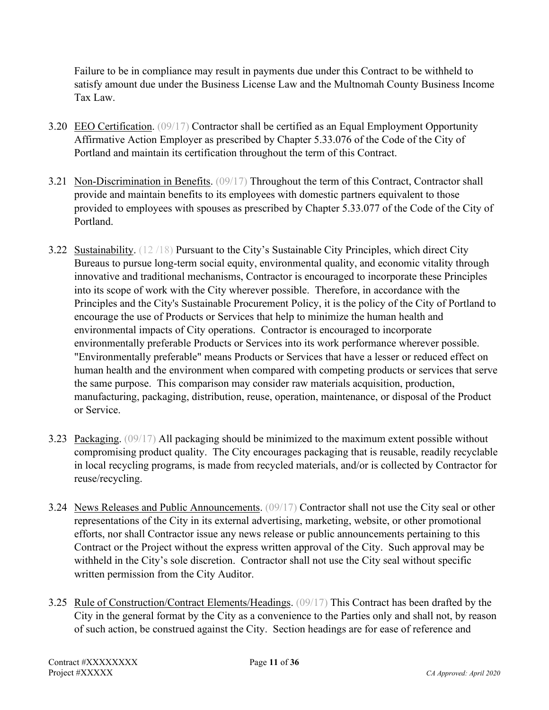Failure to be in compliance may result in payments due under this Contract to be withheld to satisfy amount due under the Business License Law and the Multnomah County Business Income Tax Law.

- 3.20 EEO Certification. (09/17) Contractor shall be certified as an Equal Employment Opportunity Affirmative Action Employer as prescribed by Chapter 5.33.076 of the Code of the City of Portland and maintain its certification throughout the term of this Contract.
- 3.21 Non-Discrimination in Benefits. (09/17) Throughout the term of this Contract, Contractor shall provide and maintain benefits to its employees with domestic partners equivalent to those provided to employees with spouses as prescribed by Chapter 5.33.077 of the Code of the City of Portland.
- 3.22 Sustainability. (12 /18) Pursuant to the City's Sustainable City Principles, which direct City Bureaus to pursue long-term social equity, environmental quality, and economic vitality through innovative and traditional mechanisms, Contractor is encouraged to incorporate these Principles into its scope of work with the City wherever possible. Therefore, in accordance with the Principles and the City's Sustainable Procurement Policy, it is the policy of the City of Portland to encourage the use of Products or Services that help to minimize the human health and environmental impacts of City operations. Contractor is encouraged to incorporate environmentally preferable Products or Services into its work performance wherever possible. "Environmentally preferable" means Products or Services that have a lesser or reduced effect on human health and the environment when compared with competing products or services that serve the same purpose. This comparison may consider raw materials acquisition, production, manufacturing, packaging, distribution, reuse, operation, maintenance, or disposal of the Product or Service.
- 3.23 Packaging. (09/17) All packaging should be minimized to the maximum extent possible without compromising product quality. The City encourages packaging that is reusable, readily recyclable in local recycling programs, is made from recycled materials, and/or is collected by Contractor for reuse/recycling.
- 3.24 News Releases and Public Announcements. (09/17) Contractor shall not use the City seal or other representations of the City in its external advertising, marketing, website, or other promotional efforts, nor shall Contractor issue any news release or public announcements pertaining to this Contract or the Project without the express written approval of the City. Such approval may be withheld in the City's sole discretion. Contractor shall not use the City seal without specific written permission from the City Auditor.
- 3.25 Rule of Construction/Contract Elements/Headings. (09/17) This Contract has been drafted by the City in the general format by the City as a convenience to the Parties only and shall not, by reason of such action, be construed against the City. Section headings are for ease of reference and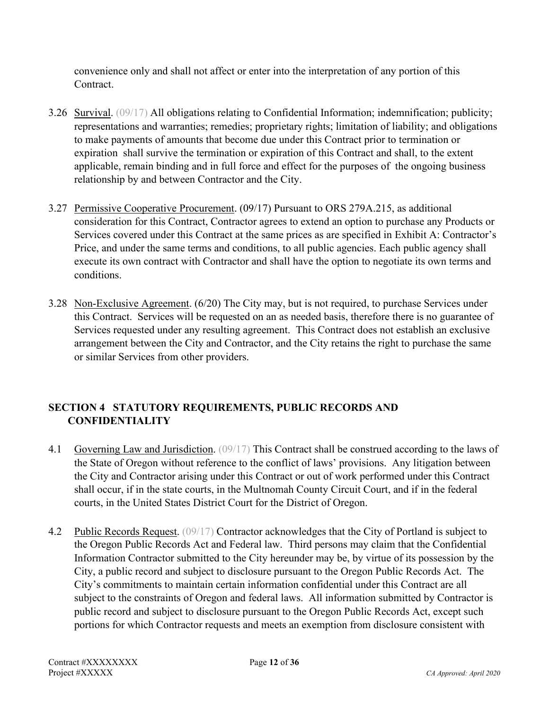convenience only and shall not affect or enter into the interpretation of any portion of this Contract.

- 3.26 Survival. (09/17) All obligations relating to Confidential Information; indemnification; publicity; representations and warranties; remedies; proprietary rights; limitation of liability; and obligations to make payments of amounts that become due under this Contract prior to termination or expiration shall survive the termination or expiration of this Contract and shall, to the extent applicable, remain binding and in full force and effect for the purposes of the ongoing business relationship by and between Contractor and the City.
- 3.27 Permissive Cooperative Procurement. (09/17) Pursuant to ORS 279A.215, as additional consideration for this Contract, Contractor agrees to extend an option to purchase any Products or Services covered under this Contract at the same prices as are specified in Exhibit A: Contractor's Price, and under the same terms and conditions, to all public agencies. Each public agency shall execute its own contract with Contractor and shall have the option to negotiate its own terms and conditions.
- 3.28 Non-Exclusive Agreement. (6/20) The City may, but is not required, to purchase Services under this Contract. Services will be requested on an as needed basis, therefore there is no guarantee of Services requested under any resulting agreement. This Contract does not establish an exclusive arrangement between the City and Contractor, and the City retains the right to purchase the same or similar Services from other providers.

# **SECTION 4 STATUTORY REQUIREMENTS, PUBLIC RECORDS AND CONFIDENTIALITY**

- 4.1 Governing Law and Jurisdiction. (09/17) This Contract shall be construed according to the laws of the State of Oregon without reference to the conflict of laws' provisions. Any litigation between the City and Contractor arising under this Contract or out of work performed under this Contract shall occur, if in the state courts, in the Multnomah County Circuit Court, and if in the federal courts, in the United States District Court for the District of Oregon.
- 4.2 Public Records Request. (09/17) Contractor acknowledges that the City of Portland is subject to the Oregon Public Records Act and Federal law. Third persons may claim that the Confidential Information Contractor submitted to the City hereunder may be, by virtue of its possession by the City, a public record and subject to disclosure pursuant to the Oregon Public Records Act. The City's commitments to maintain certain information confidential under this Contract are all subject to the constraints of Oregon and federal laws. All information submitted by Contractor is public record and subject to disclosure pursuant to the Oregon Public Records Act, except such portions for which Contractor requests and meets an exemption from disclosure consistent with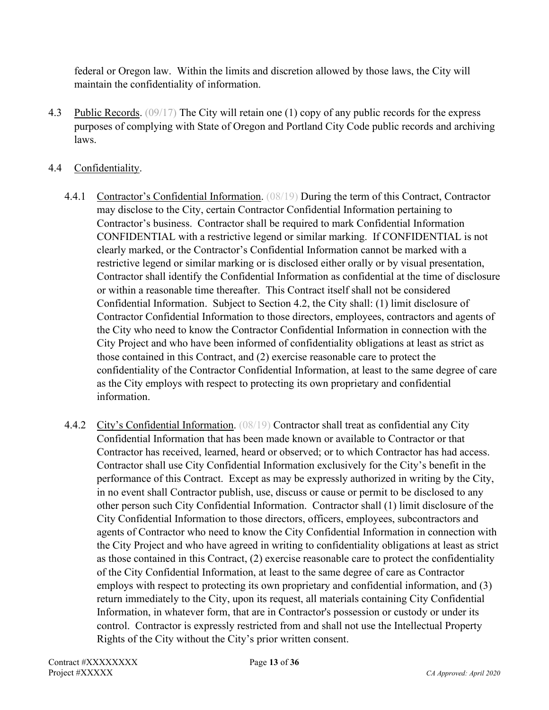federal or Oregon law. Within the limits and discretion allowed by those laws, the City will maintain the confidentiality of information.

4.3 Public Records. (09/17) The City will retain one (1) copy of any public records for the express purposes of complying with State of Oregon and Portland City Code public records and archiving laws.

## 4.4 Confidentiality.

- 4.4.1 Contractor's Confidential Information. (08/19) During the term of this Contract, Contractor may disclose to the City, certain Contractor Confidential Information pertaining to Contractor's business. Contractor shall be required to mark Confidential Information CONFIDENTIAL with a restrictive legend or similar marking. If CONFIDENTIAL is not clearly marked, or the Contractor's Confidential Information cannot be marked with a restrictive legend or similar marking or is disclosed either orally or by visual presentation, Contractor shall identify the Confidential Information as confidential at the time of disclosure or within a reasonable time thereafter. This Contract itself shall not be considered Confidential Information. Subject to Section 4.2, the City shall: (1) limit disclosure of Contractor Confidential Information to those directors, employees, contractors and agents of the City who need to know the Contractor Confidential Information in connection with the City Project and who have been informed of confidentiality obligations at least as strict as those contained in this Contract, and (2) exercise reasonable care to protect the confidentiality of the Contractor Confidential Information, at least to the same degree of care as the City employs with respect to protecting its own proprietary and confidential information.
- 4.4.2 City's Confidential Information. (08/19) Contractor shall treat as confidential any City Confidential Information that has been made known or available to Contractor or that Contractor has received, learned, heard or observed; or to which Contractor has had access. Contractor shall use City Confidential Information exclusively for the City's benefit in the performance of this Contract. Except as may be expressly authorized in writing by the City, in no event shall Contractor publish, use, discuss or cause or permit to be disclosed to any other person such City Confidential Information. Contractor shall (1) limit disclosure of the City Confidential Information to those directors, officers, employees, subcontractors and agents of Contractor who need to know the City Confidential Information in connection with the City Project and who have agreed in writing to confidentiality obligations at least as strict as those contained in this Contract, (2) exercise reasonable care to protect the confidentiality of the City Confidential Information, at least to the same degree of care as Contractor employs with respect to protecting its own proprietary and confidential information, and (3) return immediately to the City, upon its request, all materials containing City Confidential Information, in whatever form, that are in Contractor's possession or custody or under its control. Contractor is expressly restricted from and shall not use the Intellectual Property Rights of the City without the City's prior written consent.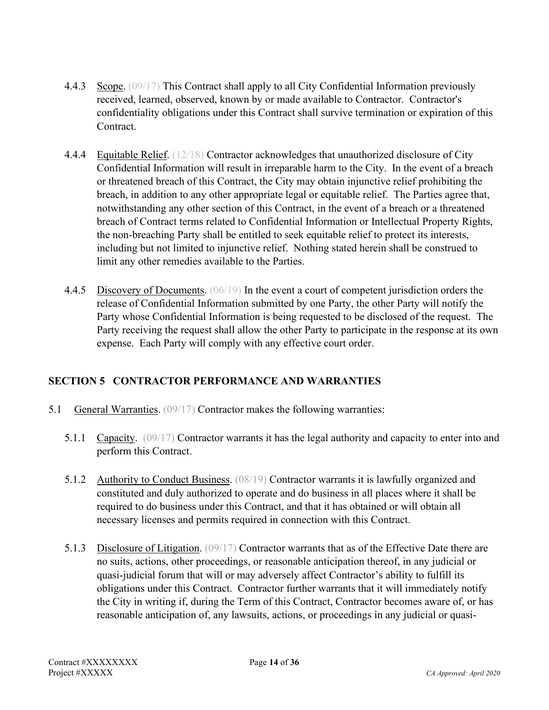- 4.4.3 Scope. (09/17) This Contract shall apply to all City Confidential Information previously received, learned, observed, known by or made available to Contractor. Contractor's confidentiality obligations under this Contract shall survive termination or expiration of this Contract.
- 4.4.4 Equitable Relief. (12/18) Contractor acknowledges that unauthorized disclosure of City Confidential Information will result in irreparable harm to the City. In the event of a breach or threatened breach of this Contract, the City may obtain injunctive relief prohibiting the breach, in addition to any other appropriate legal or equitable relief. The Parties agree that, notwithstanding any other section of this Contract, in the event of a breach or a threatened breach of Contract terms related to Confidential Information or Intellectual Property Rights, the non-breaching Party shall be entitled to seek equitable relief to protect its interests, including but not limited to injunctive relief. Nothing stated herein shall be construed to limit any other remedies available to the Parties.
- 4.4.5 Discovery of Documents. (06/19) In the event a court of competent jurisdiction orders the release of Confidential Information submitted by one Party, the other Party will notify the Party whose Confidential Information is being requested to be disclosed of the request. The Party receiving the request shall allow the other Party to participate in the response at its own expense. Each Party will comply with any effective court order.

# **SECTION 5 CONTRACTOR PERFORMANCE AND WARRANTIES**

- 5.1 General Warranties. (09/17) Contractor makes the following warranties:
	- 5.1.1 Capacity. (09/17) Contractor warrants it has the legal authority and capacity to enter into and perform this Contract.
	- 5.1.2 Authority to Conduct Business. (08/19) Contractor warrants it is lawfully organized and constituted and duly authorized to operate and do business in all places where it shall be required to do business under this Contract, and that it has obtained or will obtain all necessary licenses and permits required in connection with this Contract.
	- 5.1.3 Disclosure of Litigation. (09/17) Contractor warrants that as of the Effective Date there are no suits, actions, other proceedings, or reasonable anticipation thereof, in any judicial or quasi-judicial forum that will or may adversely affect Contractor's ability to fulfill its obligations under this Contract. Contractor further warrants that it will immediately notify the City in writing if, during the Term of this Contract, Contractor becomes aware of, or has reasonable anticipation of, any lawsuits, actions, or proceedings in any judicial or quasi-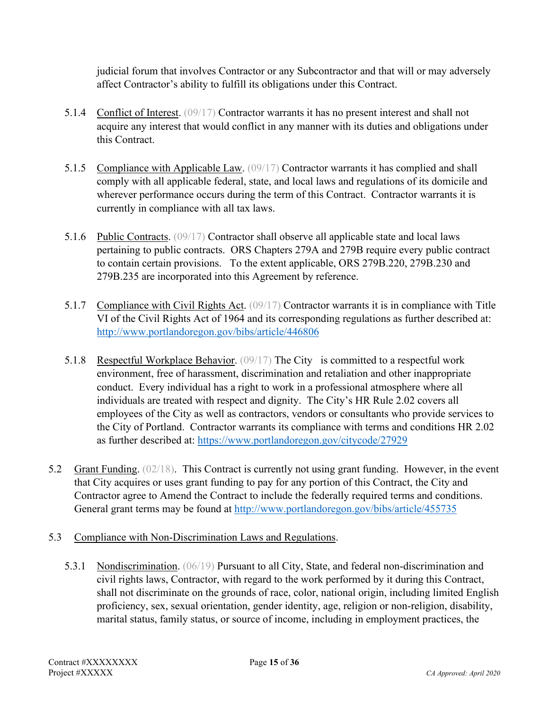judicial forum that involves Contractor or any Subcontractor and that will or may adversely affect Contractor's ability to fulfill its obligations under this Contract.

- 5.1.4 Conflict of Interest. (09/17) Contractor warrants it has no present interest and shall not acquire any interest that would conflict in any manner with its duties and obligations under this Contract.
- 5.1.5 Compliance with Applicable Law. (09/17) Contractor warrants it has complied and shall comply with all applicable federal, state, and local laws and regulations of its domicile and wherever performance occurs during the term of this Contract. Contractor warrants it is currently in compliance with all tax laws.
- 5.1.6 Public Contracts. (09/17) Contractor shall observe all applicable state and local laws pertaining to public contracts. ORS Chapters 279A and 279B require every public contract to contain certain provisions. To the extent applicable, ORS 279B.220, 279B.230 and 279B.235 are incorporated into this Agreement by reference.
- 5.1.7 Compliance with Civil Rights Act. (09/17) Contractor warrants it is in compliance with Title VI of the Civil Rights Act of 1964 and its corresponding regulations as further described at: <http://www.portlandoregon.gov/bibs/article/446806>
- 5.1.8 Respectful Workplace Behavior. (09/17) The City is committed to a respectful work environment, free of harassment, discrimination and retaliation and other inappropriate conduct. Every individual has a right to work in a professional atmosphere where all individuals are treated with respect and dignity. The City's HR Rule 2.02 covers all employees of the City as well as contractors, vendors or consultants who provide services to the City of Portland. Contractor warrants its compliance with terms and conditions HR 2.02 as further described at:<https://www.portlandoregon.gov/citycode/27929>
- 5.2 Grant Funding. (02/18). This Contract is currently not using grant funding. However, in the event that City acquires or uses grant funding to pay for any portion of this Contract, the City and Contractor agree to Amend the Contract to include the federally required terms and conditions. General grant terms may be found at<http://www.portlandoregon.gov/bibs/article/455735>
- 5.3 Compliance with Non-Discrimination Laws and Regulations.
	- 5.3.1 Nondiscrimination. (06/19) Pursuant to all City, State, and federal non-discrimination and civil rights laws, Contractor, with regard to the work performed by it during this Contract, shall not discriminate on the grounds of race, color, national origin, including limited English proficiency, sex, sexual orientation, gender identity, age, religion or non-religion, disability, marital status, family status, or source of income, including in employment practices, the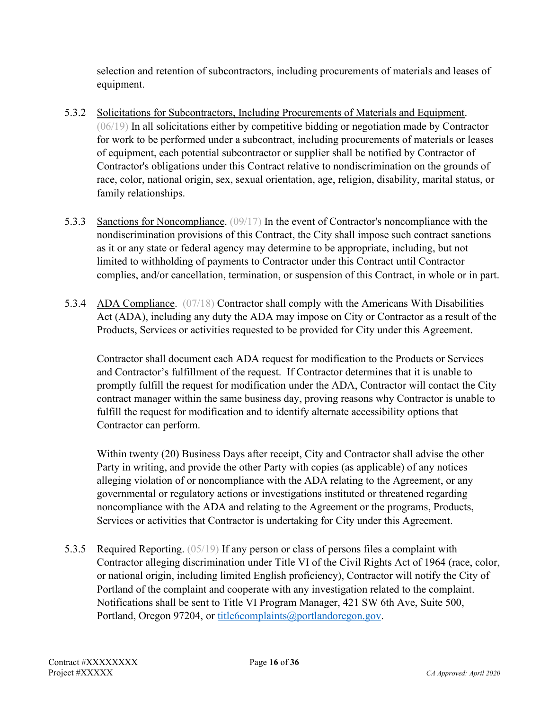selection and retention of subcontractors, including procurements of materials and leases of equipment.

- 5.3.2 Solicitations for Subcontractors, Including Procurements of Materials and Equipment. (06/19) In all solicitations either by competitive bidding or negotiation made by Contractor for work to be performed under a subcontract, including procurements of materials or leases of equipment, each potential subcontractor or supplier shall be notified by Contractor of Contractor's obligations under this Contract relative to nondiscrimination on the grounds of race, color, national origin, sex, sexual orientation, age, religion, disability, marital status, or family relationships.
- 5.3.3 Sanctions for Noncompliance. (09/17) In the event of Contractor's noncompliance with the nondiscrimination provisions of this Contract, the City shall impose such contract sanctions as it or any state or federal agency may determine to be appropriate, including, but not limited to withholding of payments to Contractor under this Contract until Contractor complies, and/or cancellation, termination, or suspension of this Contract, in whole or in part.
- 5.3.4 ADA Compliance. (07/18) Contractor shall comply with the Americans With Disabilities Act (ADA), including any duty the ADA may impose on City or Contractor as a result of the Products, Services or activities requested to be provided for City under this Agreement.

Contractor shall document each ADA request for modification to the Products or Services and Contractor's fulfillment of the request. If Contractor determines that it is unable to promptly fulfill the request for modification under the ADA, Contractor will contact the City contract manager within the same business day, proving reasons why Contractor is unable to fulfill the request for modification and to identify alternate accessibility options that Contractor can perform.

Within twenty (20) Business Days after receipt, City and Contractor shall advise the other Party in writing, and provide the other Party with copies (as applicable) of any notices alleging violation of or noncompliance with the ADA relating to the Agreement, or any governmental or regulatory actions or investigations instituted or threatened regarding noncompliance with the ADA and relating to the Agreement or the programs, Products, Services or activities that Contractor is undertaking for City under this Agreement.

5.3.5 Required Reporting. (05/19) If any person or class of persons files a complaint with Contractor alleging discrimination under Title VI of the Civil Rights Act of 1964 (race, color, or national origin, including limited English proficiency), Contractor will notify the City of Portland of the complaint and cooperate with any investigation related to the complaint. Notifications shall be sent to Title VI Program Manager, 421 SW 6th Ave, Suite 500, Portland, Oregon 97204, or [title6complaints@portlandoregon.gov.](mailto:title6complaints@portlandoregon.gov)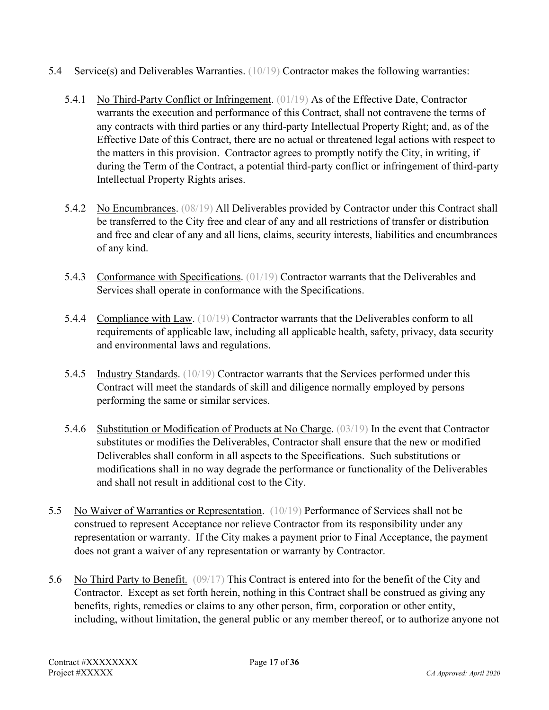- 5.4 Service(s) and Deliverables Warranties.  $(10/19)$  Contractor makes the following warranties:
	- 5.4.1 No Third-Party Conflict or Infringement. (01/19) As of the Effective Date, Contractor warrants the execution and performance of this Contract, shall not contravene the terms of any contracts with third parties or any third-party Intellectual Property Right; and, as of the Effective Date of this Contract, there are no actual or threatened legal actions with respect to the matters in this provision. Contractor agrees to promptly notify the City, in writing, if during the Term of the Contract, a potential third-party conflict or infringement of third-party Intellectual Property Rights arises.
	- 5.4.2 No Encumbrances. (08/19) All Deliverables provided by Contractor under this Contract shall be transferred to the City free and clear of any and all restrictions of transfer or distribution and free and clear of any and all liens, claims, security interests, liabilities and encumbrances of any kind.
	- 5.4.3 Conformance with Specifications. (01/19) Contractor warrants that the Deliverables and Services shall operate in conformance with the Specifications.
	- 5.4.4 Compliance with Law. (10/19) Contractor warrants that the Deliverables conform to all requirements of applicable law, including all applicable health, safety, privacy, data security and environmental laws and regulations.
	- 5.4.5 Industry Standards. (10/19) Contractor warrants that the Services performed under this Contract will meet the standards of skill and diligence normally employed by persons performing the same or similar services.
	- 5.4.6 Substitution or Modification of Products at No Charge. (03/19) In the event that Contractor substitutes or modifies the Deliverables, Contractor shall ensure that the new or modified Deliverables shall conform in all aspects to the Specifications. Such substitutions or modifications shall in no way degrade the performance or functionality of the Deliverables and shall not result in additional cost to the City.
- 5.5 No Waiver of Warranties or Representation. (10/19) Performance of Services shall not be construed to represent Acceptance nor relieve Contractor from its responsibility under any representation or warranty. If the City makes a payment prior to Final Acceptance, the payment does not grant a waiver of any representation or warranty by Contractor.
- 5.6 No Third Party to Benefit. (09/17) This Contract is entered into for the benefit of the City and Contractor. Except as set forth herein, nothing in this Contract shall be construed as giving any benefits, rights, remedies or claims to any other person, firm, corporation or other entity, including, without limitation, the general public or any member thereof, or to authorize anyone not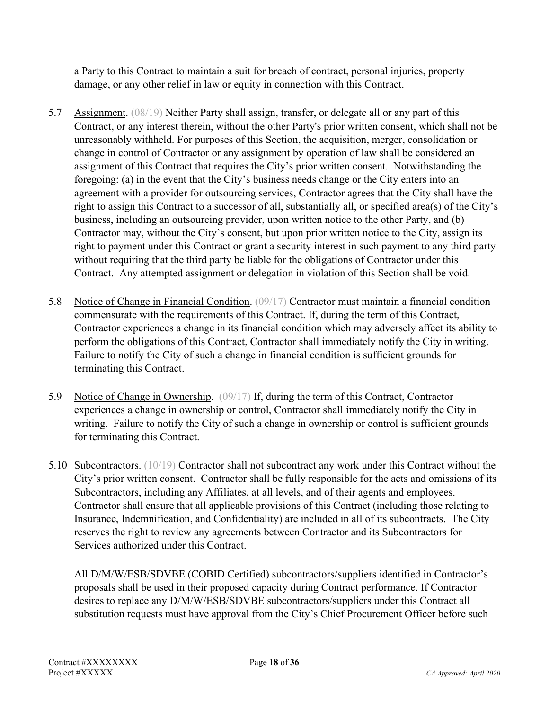a Party to this Contract to maintain a suit for breach of contract, personal injuries, property damage, or any other relief in law or equity in connection with this Contract.

- 5.7 Assignment. (08/19) Neither Party shall assign, transfer, or delegate all or any part of this Contract, or any interest therein, without the other Party's prior written consent, which shall not be unreasonably withheld. For purposes of this Section, the acquisition, merger, consolidation or change in control of Contractor or any assignment by operation of law shall be considered an assignment of this Contract that requires the City's prior written consent. Notwithstanding the foregoing: (a) in the event that the City's business needs change or the City enters into an agreement with a provider for outsourcing services, Contractor agrees that the City shall have the right to assign this Contract to a successor of all, substantially all, or specified area(s) of the City's business, including an outsourcing provider, upon written notice to the other Party, and (b) Contractor may, without the City's consent, but upon prior written notice to the City, assign its right to payment under this Contract or grant a security interest in such payment to any third party without requiring that the third party be liable for the obligations of Contractor under this Contract. Any attempted assignment or delegation in violation of this Section shall be void.
- 5.8 Notice of Change in Financial Condition. (09/17) Contractor must maintain a financial condition commensurate with the requirements of this Contract. If, during the term of this Contract, Contractor experiences a change in its financial condition which may adversely affect its ability to perform the obligations of this Contract, Contractor shall immediately notify the City in writing. Failure to notify the City of such a change in financial condition is sufficient grounds for terminating this Contract.
- 5.9 Notice of Change in Ownership. (09/17) If, during the term of this Contract, Contractor experiences a change in ownership or control, Contractor shall immediately notify the City in writing. Failure to notify the City of such a change in ownership or control is sufficient grounds for terminating this Contract.
- 5.10 Subcontractors. (10/19) Contractor shall not subcontract any work under this Contract without the City's prior written consent. Contractor shall be fully responsible for the acts and omissions of its Subcontractors, including any Affiliates, at all levels, and of their agents and employees. Contractor shall ensure that all applicable provisions of this Contract (including those relating to Insurance, Indemnification, and Confidentiality) are included in all of its subcontracts. The City reserves the right to review any agreements between Contractor and its Subcontractors for Services authorized under this Contract.

All D/M/W/ESB/SDVBE (COBID Certified) subcontractors/suppliers identified in Contractor's proposals shall be used in their proposed capacity during Contract performance. If Contractor desires to replace any D/M/W/ESB/SDVBE subcontractors/suppliers under this Contract all substitution requests must have approval from the City's Chief Procurement Officer before such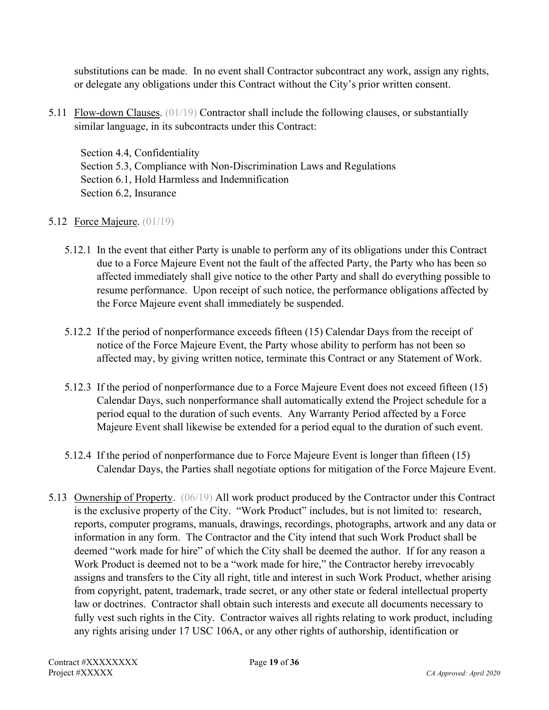substitutions can be made. In no event shall Contractor subcontract any work, assign any rights, or delegate any obligations under this Contract without the City's prior written consent.

5.11 Flow-down Clauses. (01/19) Contractor shall include the following clauses, or substantially similar language, in its subcontracts under this Contract:

Section 4.4, Confidentiality Section 5.3, Compliance with Non-Discrimination Laws and Regulations Section 6.1, Hold Harmless and Indemnification Section 6.2, Insurance

## **5.12** Force Majeure. (01/19)

- 5.12.1 In the event that either Party is unable to perform any of its obligations under this Contract due to a Force Majeure Event not the fault of the affected Party, the Party who has been so affected immediately shall give notice to the other Party and shall do everything possible to resume performance. Upon receipt of such notice, the performance obligations affected by the Force Majeure event shall immediately be suspended.
- 5.12.2 If the period of nonperformance exceeds fifteen (15) Calendar Days from the receipt of notice of the Force Majeure Event, the Party whose ability to perform has not been so affected may, by giving written notice, terminate this Contract or any Statement of Work.
- 5.12.3 If the period of nonperformance due to a Force Majeure Event does not exceed fifteen (15) Calendar Days, such nonperformance shall automatically extend the Project schedule for a period equal to the duration of such events. Any Warranty Period affected by a Force Majeure Event shall likewise be extended for a period equal to the duration of such event.
- 5.12.4 If the period of nonperformance due to Force Majeure Event is longer than fifteen (15) Calendar Days, the Parties shall negotiate options for mitigation of the Force Majeure Event.
- 5.13 Ownership of Property. (06/19) All work product produced by the Contractor under this Contract is the exclusive property of the City. "Work Product" includes, but is not limited to: research, reports, computer programs, manuals, drawings, recordings, photographs, artwork and any data or information in any form. The Contractor and the City intend that such Work Product shall be deemed "work made for hire" of which the City shall be deemed the author. If for any reason a Work Product is deemed not to be a "work made for hire," the Contractor hereby irrevocably assigns and transfers to the City all right, title and interest in such Work Product, whether arising from copyright, patent, trademark, trade secret, or any other state or federal intellectual property law or doctrines. Contractor shall obtain such interests and execute all documents necessary to fully vest such rights in the City. Contractor waives all rights relating to work product, including any rights arising under 17 USC 106A, or any other rights of authorship, identification or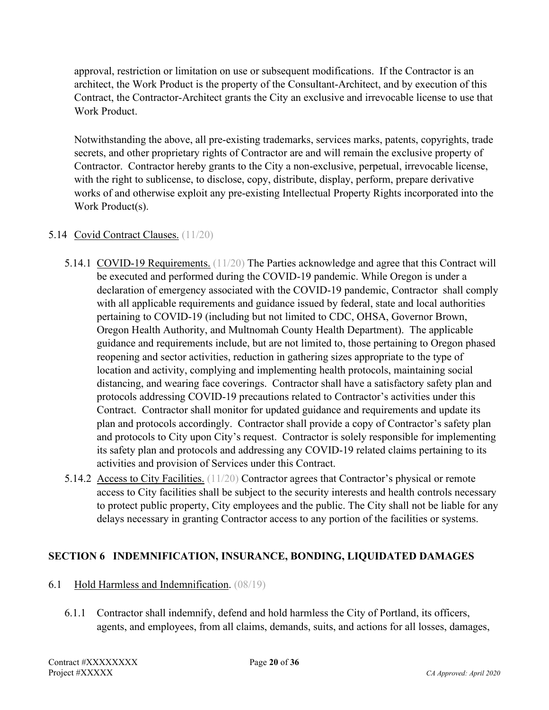approval, restriction or limitation on use or subsequent modifications. If the Contractor is an architect, the Work Product is the property of the Consultant-Architect, and by execution of this Contract, the Contractor-Architect grants the City an exclusive and irrevocable license to use that Work Product.

Notwithstanding the above, all pre-existing trademarks, services marks, patents, copyrights, trade secrets, and other proprietary rights of Contractor are and will remain the exclusive property of Contractor. Contractor hereby grants to the City a non-exclusive, perpetual, irrevocable license, with the right to sublicense, to disclose, copy, distribute, display, perform, prepare derivative works of and otherwise exploit any pre-existing Intellectual Property Rights incorporated into the Work Product(s).

#### 5.14 Covid Contract Clauses. (11/20)

- 5.14.1 COVID-19 Requirements. (11/20) The Parties acknowledge and agree that this Contract will be executed and performed during the COVID-19 pandemic. While Oregon is under a declaration of emergency associated with the COVID-19 pandemic, Contractor shall comply with all applicable requirements and guidance issued by federal, state and local authorities pertaining to COVID-19 (including but not limited to CDC, OHSA, Governor Brown, Oregon Health Authority, and Multnomah County Health Department). The applicable guidance and requirements include, but are not limited to, those pertaining to Oregon phased reopening and sector activities, reduction in gathering sizes appropriate to the type of location and activity, complying and implementing health protocols, maintaining social distancing, and wearing face coverings. Contractor shall have a satisfactory safety plan and protocols addressing COVID-19 precautions related to Contractor's activities under this Contract. Contractor shall monitor for updated guidance and requirements and update its plan and protocols accordingly. Contractor shall provide a copy of Contractor's safety plan and protocols to City upon City's request. Contractor is solely responsible for implementing its safety plan and protocols and addressing any COVID-19 related claims pertaining to its activities and provision of Services under this Contract.
- 5.14.2 Access to City Facilities. (11/20) Contractor agrees that Contractor's physical or remote access to City facilities shall be subject to the security interests and health controls necessary to protect public property, City employees and the public. The City shall not be liable for any delays necessary in granting Contractor access to any portion of the facilities or systems.

## **SECTION 6 INDEMNIFICATION, INSURANCE, BONDING, LIQUIDATED DAMAGES**

#### 6.1 Hold Harmless and Indemnification. (08/19)

6.1.1 Contractor shall indemnify, defend and hold harmless the City of Portland, its officers, agents, and employees, from all claims, demands, suits, and actions for all losses, damages,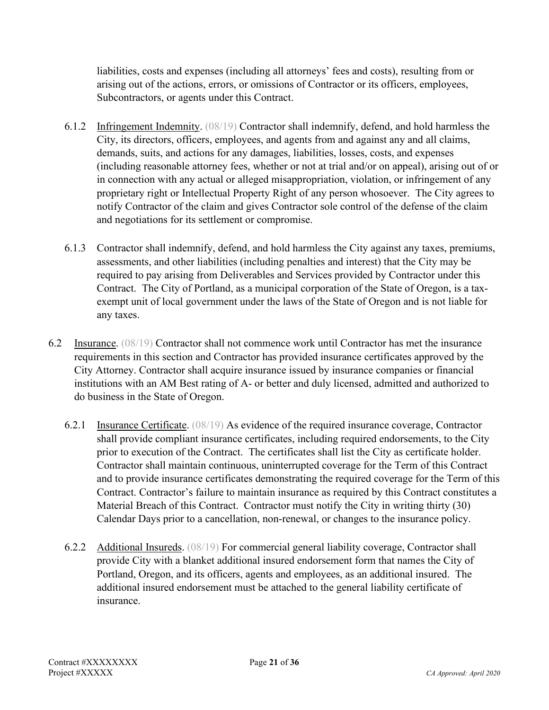liabilities, costs and expenses (including all attorneys' fees and costs), resulting from or arising out of the actions, errors, or omissions of Contractor or its officers, employees, Subcontractors, or agents under this Contract.

- 6.1.2 Infringement Indemnity. (08/19) Contractor shall indemnify, defend, and hold harmless the City, its directors, officers, employees, and agents from and against any and all claims, demands, suits, and actions for any damages, liabilities, losses, costs, and expenses (including reasonable attorney fees, whether or not at trial and/or on appeal), arising out of or in connection with any actual or alleged misappropriation, violation, or infringement of any proprietary right or Intellectual Property Right of any person whosoever. The City agrees to notify Contractor of the claim and gives Contractor sole control of the defense of the claim and negotiations for its settlement or compromise.
- 6.1.3 Contractor shall indemnify, defend, and hold harmless the City against any taxes, premiums, assessments, and other liabilities (including penalties and interest) that the City may be required to pay arising from Deliverables and Services provided by Contractor under this Contract. The City of Portland, as a municipal corporation of the State of Oregon, is a taxexempt unit of local government under the laws of the State of Oregon and is not liable for any taxes.
- 6.2 Insurance. (08/19) Contractor shall not commence work until Contractor has met the insurance requirements in this section and Contractor has provided insurance certificates approved by the City Attorney. Contractor shall acquire insurance issued by insurance companies or financial institutions with an AM Best rating of A- or better and duly licensed, admitted and authorized to do business in the State of Oregon.
	- 6.2.1 Insurance Certificate. (08/19) As evidence of the required insurance coverage, Contractor shall provide compliant insurance certificates, including required endorsements, to the City prior to execution of the Contract. The certificates shall list the City as certificate holder. Contractor shall maintain continuous, uninterrupted coverage for the Term of this Contract and to provide insurance certificates demonstrating the required coverage for the Term of this Contract. Contractor's failure to maintain insurance as required by this Contract constitutes a Material Breach of this Contract. Contractor must notify the City in writing thirty (30) Calendar Days prior to a cancellation, non-renewal, or changes to the insurance policy.
	- 6.2.2 Additional Insureds. (08/19) For commercial general liability coverage, Contractor shall provide City with a blanket additional insured endorsement form that names the City of Portland, Oregon, and its officers, agents and employees, as an additional insured. The additional insured endorsement must be attached to the general liability certificate of insurance.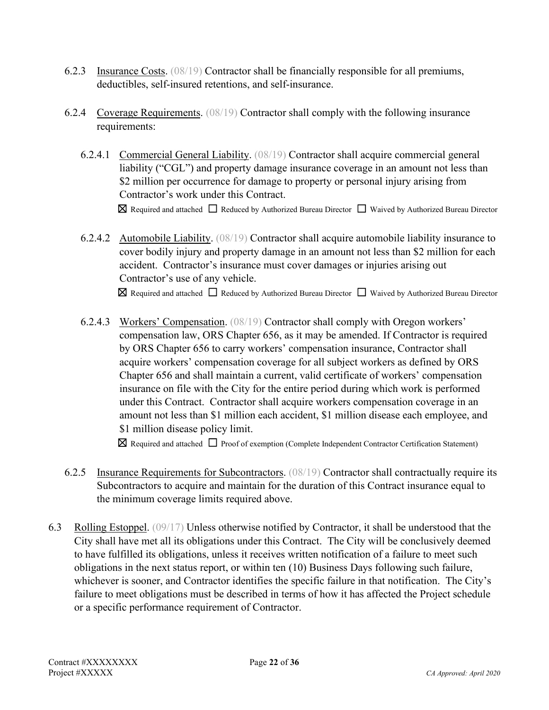- 6.2.3 Insurance Costs. (08/19) Contractor shall be financially responsible for all premiums, deductibles, self-insured retentions, and self-insurance.
- 6.2.4 Coverage Requirements. (08/19) Contractor shall comply with the following insurance requirements:
	- 6.2.4.1 Commercial General Liability. (08/19) Contractor shall acquire commercial general liability ("CGL") and property damage insurance coverage in an amount not less than \$2 million per occurrence for damage to property or personal injury arising from Contractor's work under this Contract. ☒ Required and attached ☐ Reduced by Authorized Bureau Director ☐ Waived by Authorized Bureau Director
	- 6.2.4.2 Automobile Liability. (08/19) Contractor shall acquire automobile liability insurance to cover bodily injury and property damage in an amount not less than \$2 million for each accident. Contractor's insurance must cover damages or injuries arising out Contractor's use of any vehicle.

☒ Required and attached ☐ Reduced by Authorized Bureau Director ☐ Waived by Authorized Bureau Director

6.2.4.3 Workers' Compensation. (08/19) Contractor shall comply with Oregon workers' compensation law, ORS Chapter 656, as it may be amended. If Contractor is required by ORS Chapter 656 to carry workers' compensation insurance, Contractor shall acquire workers' compensation coverage for all subject workers as defined by ORS Chapter 656 and shall maintain a current, valid certificate of workers' compensation insurance on file with the City for the entire period during which work is performed under this Contract. Contractor shall acquire workers compensation coverage in an amount not less than \$1 million each accident, \$1 million disease each employee, and \$1 million disease policy limit.

☒ Required and attached ☐ Proof of exemption (Complete Independent Contractor Certification Statement)

- 6.2.5 Insurance Requirements for Subcontractors. (08/19) Contractor shall contractually require its Subcontractors to acquire and maintain for the duration of this Contract insurance equal to the minimum coverage limits required above.
- 6.3 Rolling Estoppel. (09/17) Unless otherwise notified by Contractor, it shall be understood that the City shall have met all its obligations under this Contract. The City will be conclusively deemed to have fulfilled its obligations, unless it receives written notification of a failure to meet such obligations in the next status report, or within ten (10) Business Days following such failure, whichever is sooner, and Contractor identifies the specific failure in that notification. The City's failure to meet obligations must be described in terms of how it has affected the Project schedule or a specific performance requirement of Contractor.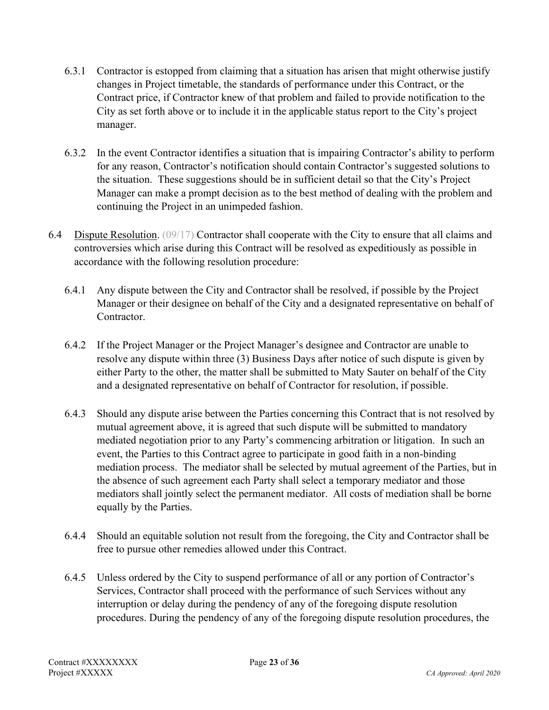- 6.3.1 Contractor is estopped from claiming that a situation has arisen that might otherwise justify changes in Project timetable, the standards of performance under this Contract, or the Contract price, if Contractor knew of that problem and failed to provide notification to the City as set forth above or to include it in the applicable status report to the City's project manager.
- 6.3.2 In the event Contractor identifies a situation that is impairing Contractor's ability to perform for any reason, Contractor's notification should contain Contractor's suggested solutions to the situation. These suggestions should be in sufficient detail so that the City's Project Manager can make a prompt decision as to the best method of dealing with the problem and continuing the Project in an unimpeded fashion.
- 6.4 Dispute Resolution. (09/17) Contractor shall cooperate with the City to ensure that all claims and controversies which arise during this Contract will be resolved as expeditiously as possible in accordance with the following resolution procedure:
	- 6.4.1 Any dispute between the City and Contractor shall be resolved, if possible by the Project Manager or their designee on behalf of the City and a designated representative on behalf of Contractor.
	- 6.4.2 If the Project Manager or the Project Manager's designee and Contractor are unable to resolve any dispute within three (3) Business Days after notice of such dispute is given by either Party to the other, the matter shall be submitted to Maty Sauter on behalf of the City and a designated representative on behalf of Contractor for resolution, if possible.
	- 6.4.3 Should any dispute arise between the Parties concerning this Contract that is not resolved by mutual agreement above, it is agreed that such dispute will be submitted to mandatory mediated negotiation prior to any Party's commencing arbitration or litigation. In such an event, the Parties to this Contract agree to participate in good faith in a non-binding mediation process. The mediator shall be selected by mutual agreement of the Parties, but in the absence of such agreement each Party shall select a temporary mediator and those mediators shall jointly select the permanent mediator. All costs of mediation shall be borne equally by the Parties.
	- 6.4.4 Should an equitable solution not result from the foregoing, the City and Contractor shall be free to pursue other remedies allowed under this Contract.
	- 6.4.5 Unless ordered by the City to suspend performance of all or any portion of Contractor's Services, Contractor shall proceed with the performance of such Services without any interruption or delay during the pendency of any of the foregoing dispute resolution procedures. During the pendency of any of the foregoing dispute resolution procedures, the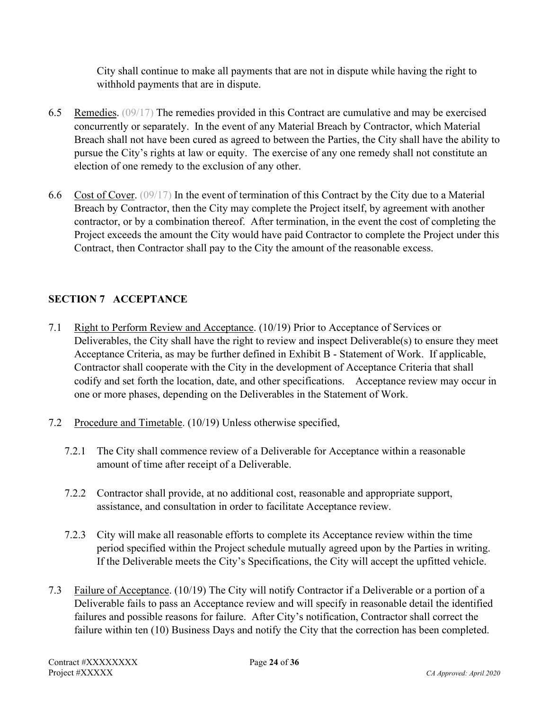City shall continue to make all payments that are not in dispute while having the right to withhold payments that are in dispute.

- 6.5 Remedies. (09/17) The remedies provided in this Contract are cumulative and may be exercised concurrently or separately. In the event of any Material Breach by Contractor, which Material Breach shall not have been cured as agreed to between the Parties, the City shall have the ability to pursue the City's rights at law or equity. The exercise of any one remedy shall not constitute an election of one remedy to the exclusion of any other.
- 6.6 Cost of Cover. (09/17) In the event of termination of this Contract by the City due to a Material Breach by Contractor, then the City may complete the Project itself, by agreement with another contractor, or by a combination thereof. After termination, in the event the cost of completing the Project exceeds the amount the City would have paid Contractor to complete the Project under this Contract, then Contractor shall pay to the City the amount of the reasonable excess.

# **SECTION 7 ACCEPTANCE**

- 7.1 Right to Perform Review and Acceptance. (10/19) Prior to Acceptance of Services or Deliverables, the City shall have the right to review and inspect Deliverable(s) to ensure they meet Acceptance Criteria, as may be further defined in Exhibit B - Statement of Work. If applicable, Contractor shall cooperate with the City in the development of Acceptance Criteria that shall codify and set forth the location, date, and other specifications. Acceptance review may occur in one or more phases, depending on the Deliverables in the Statement of Work.
- 7.2 Procedure and Timetable. (10/19) Unless otherwise specified,
	- 7.2.1 The City shall commence review of a Deliverable for Acceptance within a reasonable amount of time after receipt of a Deliverable.
	- 7.2.2 Contractor shall provide, at no additional cost, reasonable and appropriate support, assistance, and consultation in order to facilitate Acceptance review.
	- 7.2.3 City will make all reasonable efforts to complete its Acceptance review within the time period specified within the Project schedule mutually agreed upon by the Parties in writing. If the Deliverable meets the City's Specifications, the City will accept the upfitted vehicle.
- 7.3 Failure of Acceptance. (10/19) The City will notify Contractor if a Deliverable or a portion of a Deliverable fails to pass an Acceptance review and will specify in reasonable detail the identified failures and possible reasons for failure. After City's notification, Contractor shall correct the failure within ten (10) Business Days and notify the City that the correction has been completed.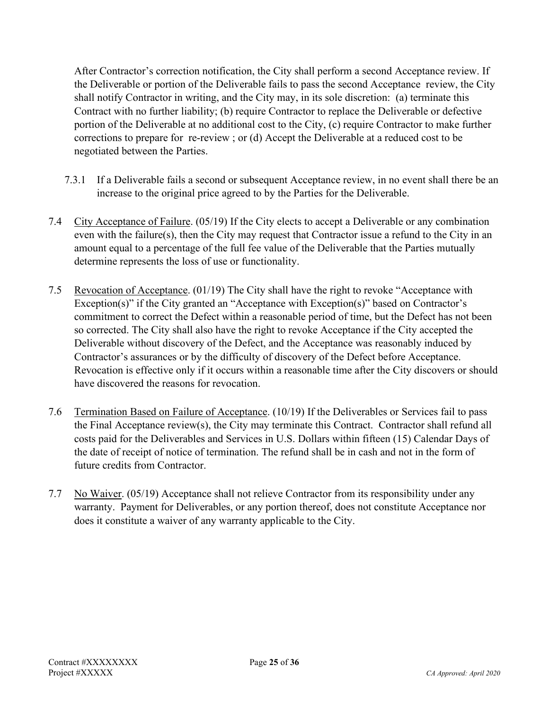After Contractor's correction notification, the City shall perform a second Acceptance review. If the Deliverable or portion of the Deliverable fails to pass the second Acceptance review, the City shall notify Contractor in writing, and the City may, in its sole discretion: (a) terminate this Contract with no further liability; (b) require Contractor to replace the Deliverable or defective portion of the Deliverable at no additional cost to the City, (c) require Contractor to make further corrections to prepare for re-review ; or (d) Accept the Deliverable at a reduced cost to be negotiated between the Parties.

- 7.3.1 If a Deliverable fails a second or subsequent Acceptance review, in no event shall there be an increase to the original price agreed to by the Parties for the Deliverable.
- 7.4 City Acceptance of Failure. (05/19) If the City elects to accept a Deliverable or any combination even with the failure(s), then the City may request that Contractor issue a refund to the City in an amount equal to a percentage of the full fee value of the Deliverable that the Parties mutually determine represents the loss of use or functionality.
- 7.5 Revocation of Acceptance. (01/19) The City shall have the right to revoke "Acceptance with Exception(s)" if the City granted an "Acceptance with Exception(s)" based on Contractor's commitment to correct the Defect within a reasonable period of time, but the Defect has not been so corrected. The City shall also have the right to revoke Acceptance if the City accepted the Deliverable without discovery of the Defect, and the Acceptance was reasonably induced by Contractor's assurances or by the difficulty of discovery of the Defect before Acceptance. Revocation is effective only if it occurs within a reasonable time after the City discovers or should have discovered the reasons for revocation.
- 7.6 Termination Based on Failure of Acceptance. (10/19) If the Deliverables or Services fail to pass the Final Acceptance review(s), the City may terminate this Contract. Contractor shall refund all costs paid for the Deliverables and Services in U.S. Dollars within fifteen (15) Calendar Days of the date of receipt of notice of termination. The refund shall be in cash and not in the form of future credits from Contractor.
- 7.7 No Waiver. (05/19) Acceptance shall not relieve Contractor from its responsibility under any warranty. Payment for Deliverables, or any portion thereof, does not constitute Acceptance nor does it constitute a waiver of any warranty applicable to the City.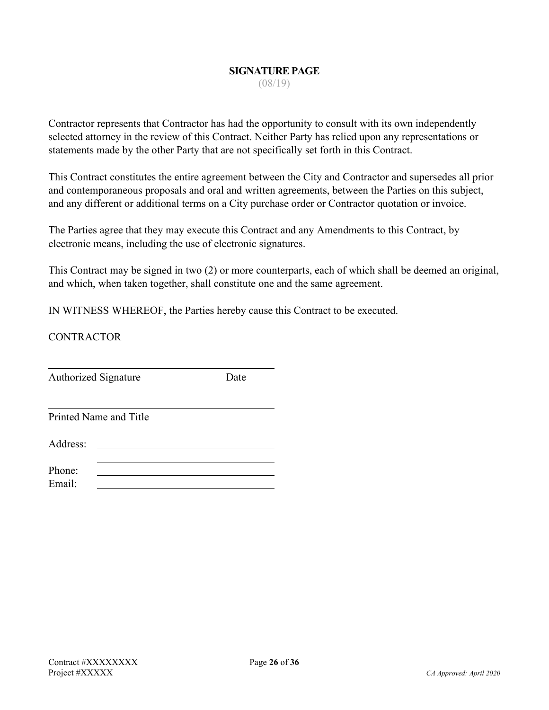# **SIGNATURE PAGE**

(08/19)

Contractor represents that Contractor has had the opportunity to consult with its own independently selected attorney in the review of this Contract. Neither Party has relied upon any representations or statements made by the other Party that are not specifically set forth in this Contract.

This Contract constitutes the entire agreement between the City and Contractor and supersedes all prior and contemporaneous proposals and oral and written agreements, between the Parties on this subject, and any different or additional terms on a City purchase order or Contractor quotation or invoice.

The Parties agree that they may execute this Contract and any Amendments to this Contract, by electronic means, including the use of electronic signatures.

This Contract may be signed in two (2) or more counterparts, each of which shall be deemed an original, and which, when taken together, shall constitute one and the same agreement.

IN WITNESS WHEREOF, the Parties hereby cause this Contract to be executed.

**CONTRACTOR** 

Authorized Signature Date

Printed Name and Title

Address:

Phone: Email: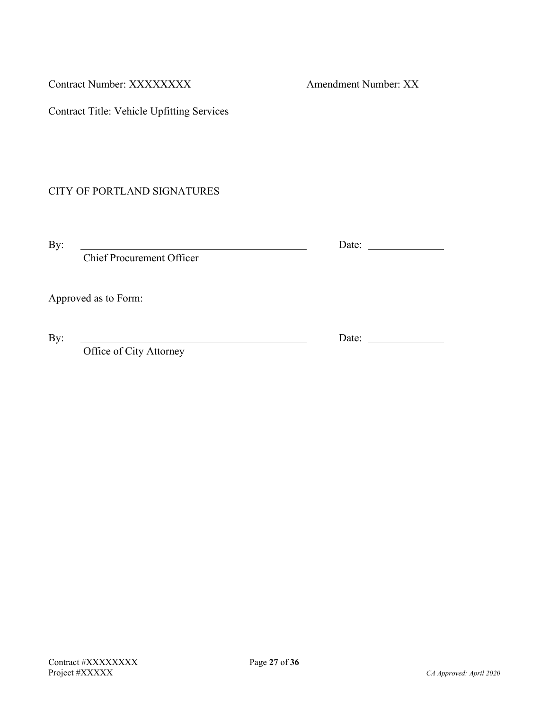Contract Number: XXXXXXXXX Amendment Number: XX

Contract Title: Vehicle Upfitting Services

## CITY OF PORTLAND SIGNATURES

Chief Procurement Officer

Approved as to Form:

Office of City Attorney

By: <u>Nate:</u> Date:

By: Date: Date: Date: Date: Date: Date: Date: Date: Date: Date: Date: Date: Date: Date: Date: Date: Date: Date: Date: Date: Date: Date: Date: Date: Date: Date: Date: Date: Date: Date: Date: Date: Date: Date: Date: Date: Da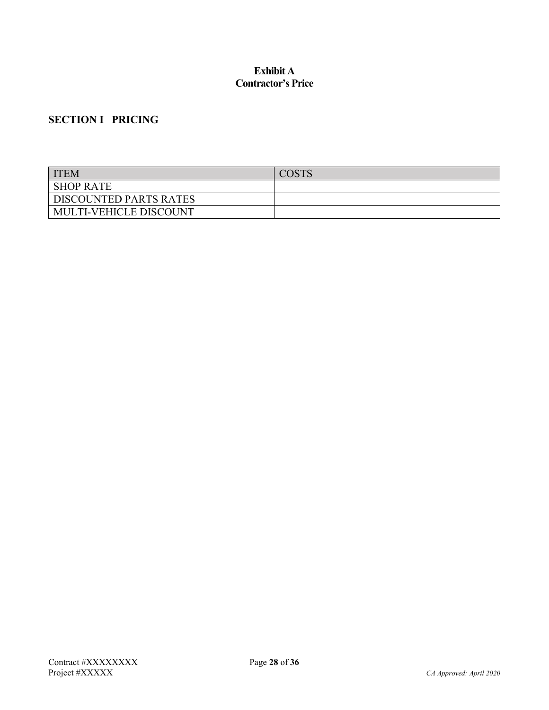#### **Exhibit A Contractor's Price**

# **SECTION I PRICING**

| <b>ITEM</b>                   | <b>COSTS</b> |
|-------------------------------|--------------|
| <b>SHOP RATE</b>              |              |
| <b>DISCOUNTED PARTS RATES</b> |              |
| <b>MULTI-VEHICLE DISCOUNT</b> |              |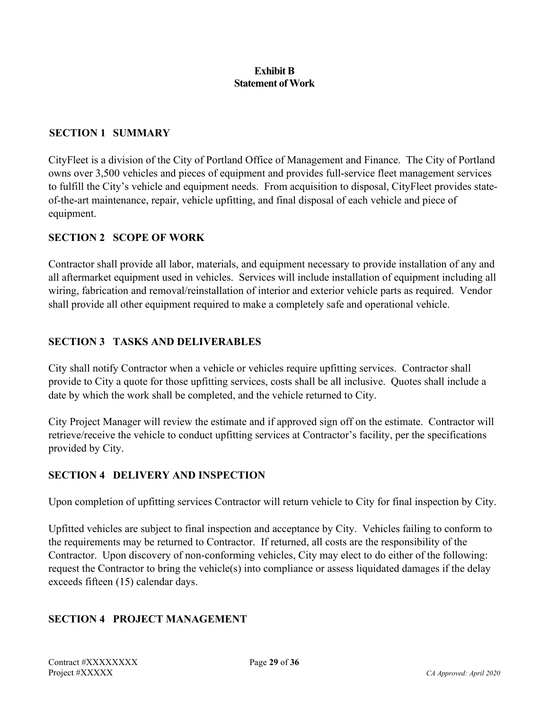#### **Exhibit B Statement of Work**

#### **SECTION 1 SUMMARY**

CityFleet is a division of the City of Portland Office of Management and Finance. The City of Portland owns over 3,500 vehicles and pieces of equipment and provides full-service fleet management services to fulfill the City's vehicle and equipment needs. From acquisition to disposal, CityFleet provides stateof-the-art maintenance, repair, vehicle upfitting, and final disposal of each vehicle and piece of equipment.

#### **SECTION 2 SCOPE OF WORK**

Contractor shall provide all labor, materials, and equipment necessary to provide installation of any and all aftermarket equipment used in vehicles. Services will include installation of equipment including all wiring, fabrication and removal/reinstallation of interior and exterior vehicle parts as required. Vendor shall provide all other equipment required to make a completely safe and operational vehicle.

#### **SECTION 3 TASKS AND DELIVERABLES**

City shall notify Contractor when a vehicle or vehicles require upfitting services. Contractor shall provide to City a quote for those upfitting services, costs shall be all inclusive. Quotes shall include a date by which the work shall be completed, and the vehicle returned to City.

City Project Manager will review the estimate and if approved sign off on the estimate. Contractor will retrieve/receive the vehicle to conduct upfitting services at Contractor's facility, per the specifications provided by City.

#### **SECTION 4 DELIVERY AND INSPECTION**

Upon completion of upfitting services Contractor will return vehicle to City for final inspection by City.

Upfitted vehicles are subject to final inspection and acceptance by City. Vehicles failing to conform to the requirements may be returned to Contractor. If returned, all costs are the responsibility of the Contractor. Upon discovery of non-conforming vehicles, City may elect to do either of the following: request the Contractor to bring the vehicle(s) into compliance or assess liquidated damages if the delay exceeds fifteen (15) calendar days.

## **SECTION 4 PROJECT MANAGEMENT**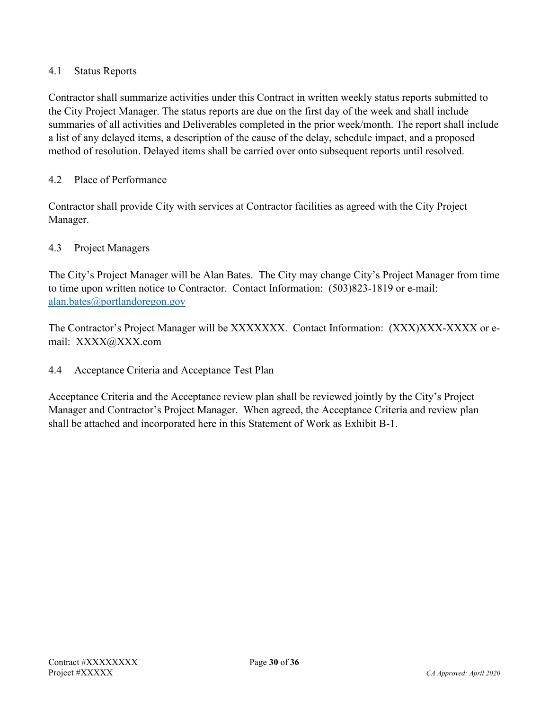#### 4.1 Status Reports

Contractor shall summarize activities under this Contract in written weekly status reports submitted to the City Project Manager. The status reports are due on the first day of the week and shall include summaries of all activities and Deliverables completed in the prior week/month. The report shall include a list of any delayed items, a description of the cause of the delay, schedule impact, and a proposed method of resolution. Delayed items shall be carried over onto subsequent reports until resolved.

#### 4.2 Place of Performance

Contractor shall provide City with services at Contractor facilities as agreed with the City Project Manager.

#### 4.3 Project Managers

The City's Project Manager will be Alan Bates. The City may change City's Project Manager from time to time upon written notice to Contractor. Contact Information: (503)823-1819 or e-mail: [alan.bates@portlandoregon.gov](mailto:alan.bates@portlandoregon.gov)

The Contractor's Project Manager will be XXXXXXX. Contact Information: (XXX)XXX-XXXX or email: XXXX@XXX.com

4.4 Acceptance Criteria and Acceptance Test Plan

Acceptance Criteria and the Acceptance review plan shall be reviewed jointly by the City's Project Manager and Contractor's Project Manager. When agreed, the Acceptance Criteria and review plan shall be attached and incorporated here in this Statement of Work as Exhibit B-1.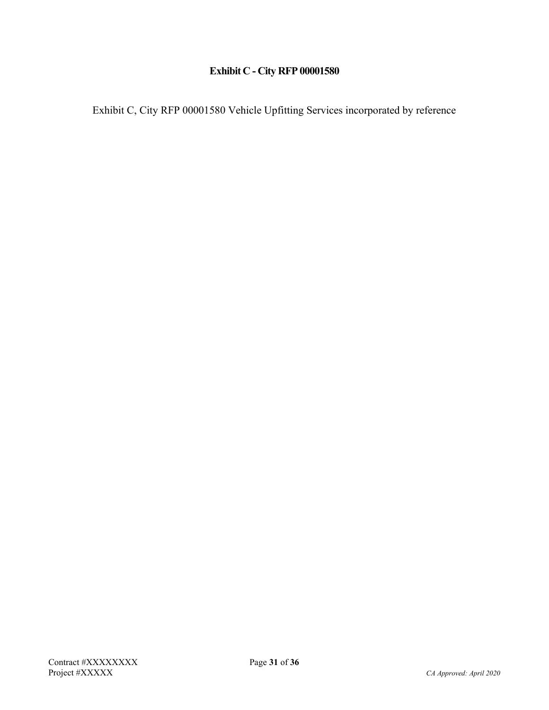# **Exhibit C - City RFP 00001580**

Exhibit C, City RFP 00001580 Vehicle Upfitting Services incorporated by reference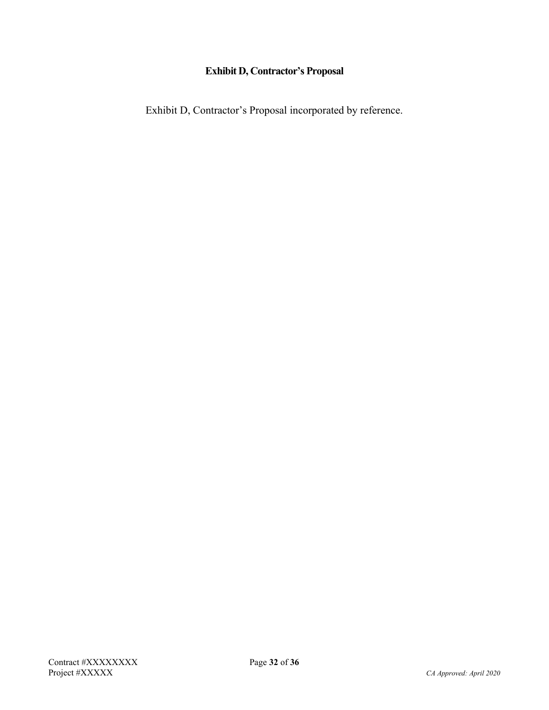## **Exhibit D, Contractor's Proposal**

Exhibit D, Contractor's Proposal incorporated by reference.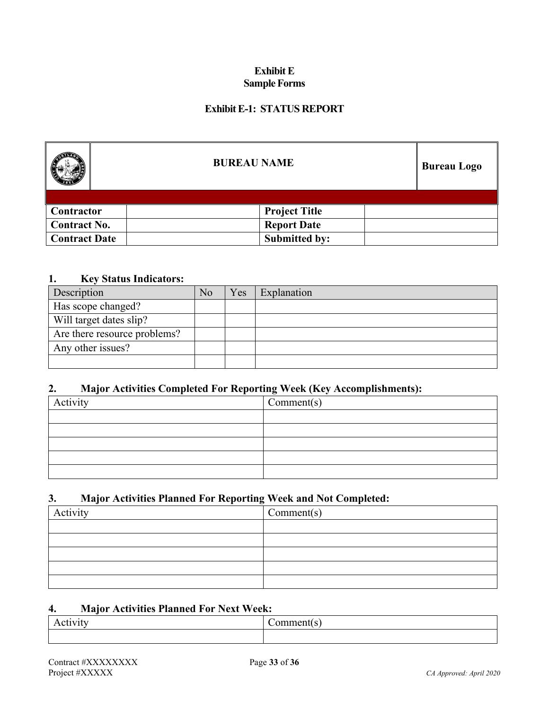#### **Exhibit E Sample Forms**

#### **Exhibit E-1: STATUS REPORT**

|                      | <b>BUREAU NAME</b>   |  |  |
|----------------------|----------------------|--|--|
|                      |                      |  |  |
| Contractor           | <b>Project Title</b> |  |  |
| <b>Contract No.</b>  | <b>Report Date</b>   |  |  |
| <b>Contract Date</b> | <b>Submitted by:</b> |  |  |

#### **1. Key Status Indicators:**

| Description                  | No | Yes | Explanation |
|------------------------------|----|-----|-------------|
| Has scope changed?           |    |     |             |
| Will target dates slip?      |    |     |             |
| Are there resource problems? |    |     |             |
| Any other issues?            |    |     |             |
|                              |    |     |             |

#### **2. Major Activities Completed For Reporting Week (Key Accomplishments):**

| $\cdot$  | ັ          |
|----------|------------|
| Activity | Comment(s) |
|          |            |
|          |            |
|          |            |
|          |            |
|          |            |

#### **3. Major Activities Planned For Reporting Week and Not Completed:**

| Activity | $\Gamma$ Comment(s) |
|----------|---------------------|
|          |                     |
|          |                     |
|          |                     |
|          |                     |
|          |                     |

#### **4. Major Activities Planned For Next Week:**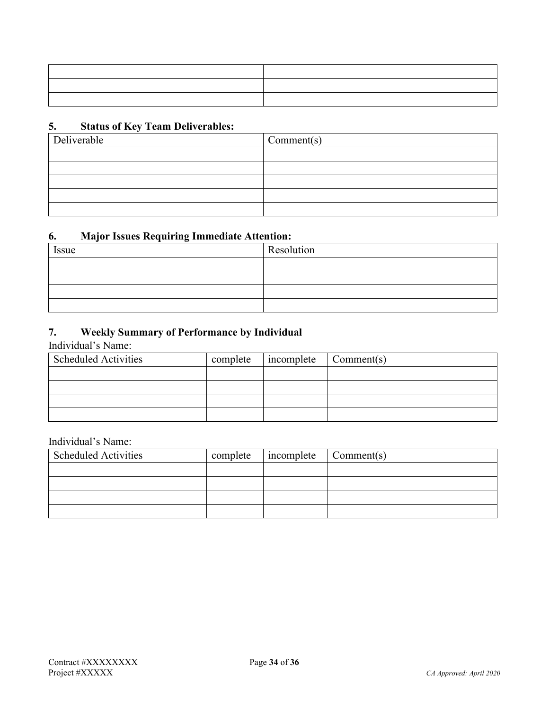## **5. Status of Key Team Deliverables:**

| Deliverable | Comment(s) |
|-------------|------------|
|             |            |
|             |            |
|             |            |
|             |            |
|             |            |

#### **6. Major Issues Requiring Immediate Attention:**

| Issue | Resolution |
|-------|------------|
|       |            |
|       |            |
|       |            |
|       |            |

## **7. Weekly Summary of Performance by Individual**

Individual's Name:

| <b>Scheduled Activities</b> | complete | $incomplete$ $\bigcap$ $Comment(s)$ |  |
|-----------------------------|----------|-------------------------------------|--|
|                             |          |                                     |  |
|                             |          |                                     |  |
|                             |          |                                     |  |
|                             |          |                                     |  |

#### Individual's Name:

| <b>Scheduled Activities</b> | complete | incomplete Comment(s) |  |
|-----------------------------|----------|-----------------------|--|
|                             |          |                       |  |
|                             |          |                       |  |
|                             |          |                       |  |
|                             |          |                       |  |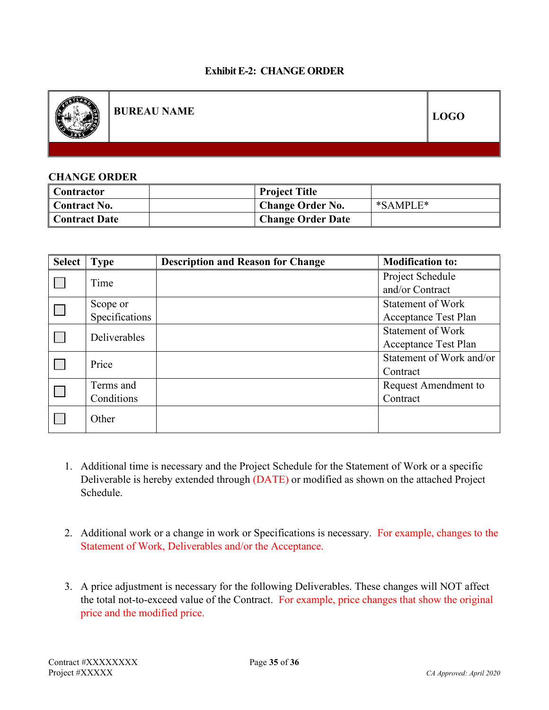#### **Exhibit E-2: CHANGE ORDER**



**BUREAU NAME LOGO**

#### **CHANGE ORDER**

| <b>Contractor</b>    | <b>Project Title</b>     |          |
|----------------------|--------------------------|----------|
| <b>Contract No.</b>  | <b>Change Order No.</b>  | *SAMPLE* |
| <b>Contract Date</b> | <b>Change Order Date</b> |          |

| <b>Select</b> | <b>Type</b>    | <b>Description and Reason for Change</b> | <b>Modification to:</b>  |
|---------------|----------------|------------------------------------------|--------------------------|
|               | Time           |                                          | Project Schedule         |
|               |                |                                          | and/or Contract          |
|               | Scope or       |                                          | <b>Statement of Work</b> |
|               | Specifications |                                          | Acceptance Test Plan     |
|               | Deliverables   |                                          | <b>Statement of Work</b> |
|               |                |                                          | Acceptance Test Plan     |
|               | Price          |                                          | Statement of Work and/or |
|               |                |                                          | Contract                 |
|               | Terms and      |                                          | Request Amendment to     |
|               | Conditions     |                                          | Contract                 |
|               | Other          |                                          |                          |

- 1. Additional time is necessary and the Project Schedule for the Statement of Work or a specific Deliverable is hereby extended through (DATE) or modified as shown on the attached Project Schedule.
- 2. Additional work or a change in work or Specifications is necessary. For example, changes to the Statement of Work, Deliverables and/or the Acceptance.
- 3. A price adjustment is necessary for the following Deliverables. These changes will NOT affect the total not-to-exceed value of the Contract. For example, price changes that show the original price and the modified price.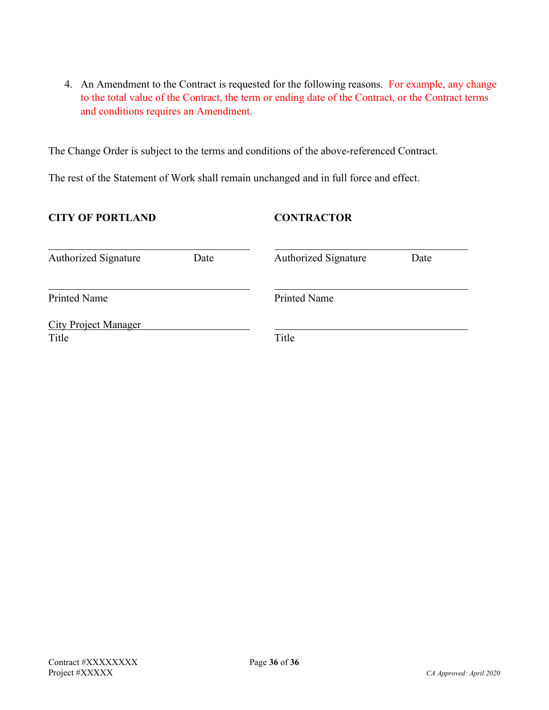4. An Amendment to the Contract is requested for the following reasons. For example, any change to the total value of the Contract, the term or ending date of the Contract, or the Contract terms and conditions requires an Amendment.

The Change Order is subject to the terms and conditions of the above-referenced Contract.

The rest of the Statement of Work shall remain unchanged and in full force and effect.

#### **CITY OF PORTLAND CONTRACTOR**

| <b>Authorized Signature</b>          | Date | <b>Authorized Signature</b> | Date |
|--------------------------------------|------|-----------------------------|------|
| <b>Printed Name</b>                  |      | <b>Printed Name</b>         |      |
| <b>City Project Manager</b><br>Title |      | Title                       |      |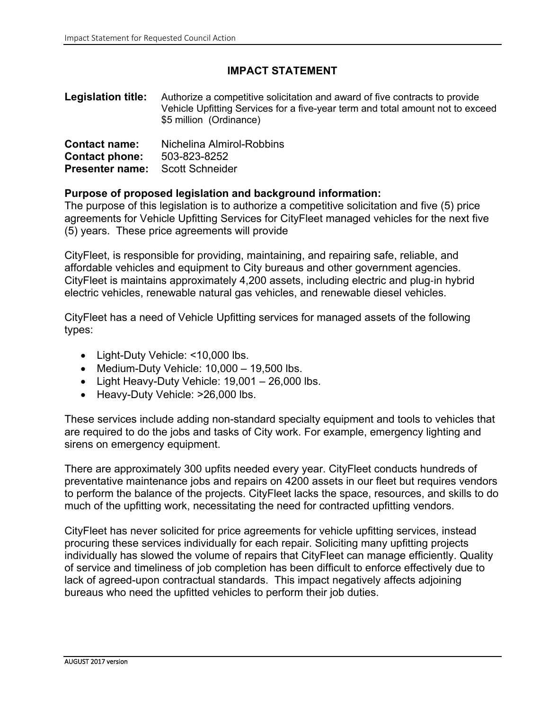## **IMPACT STATEMENT**

**Legislation title:** Authorize a competitive solicitation and award of five contracts to provide Vehicle Upfitting Services for a five-year term and total amount not to exceed \$5 million (Ordinance)

| <b>Contact name:</b>                   | Nichelina Almirol-Robbins |  |  |  |
|----------------------------------------|---------------------------|--|--|--|
| <b>Contact phone:</b>                  | 503-823-8252              |  |  |  |
| <b>Presenter name:</b> Scott Schneider |                           |  |  |  |

#### **Purpose of proposed legislation and background information:**

The purpose of this legislation is to authorize a competitive solicitation and five (5) price agreements for Vehicle Upfitting Services for CityFleet managed vehicles for the next five (5) years. These price agreements will provide

CityFleet, is responsible for providing, maintaining, and repairing safe, reliable, and affordable vehicles and equipment to City bureaus and other government agencies. CityFleet is maintains approximately 4,200 assets, including electric and plug‐in hybrid electric vehicles, renewable natural gas vehicles, and renewable diesel vehicles.

CityFleet has a need of Vehicle Upfitting services for managed assets of the following types:

- Light-Duty Vehicle: <10,000 lbs.
- Medium-Duty Vehicle: 10,000 19,500 lbs.
- Light Heavy-Duty Vehicle:  $19,001 26,000$  lbs.
- Heavy-Duty Vehicle: >26,000 lbs.

These services include adding non-standard specialty equipment and tools to vehicles that are required to do the jobs and tasks of City work. For example, emergency lighting and sirens on emergency equipment.

There are approximately 300 upfits needed every year. CityFleet conducts hundreds of preventative maintenance jobs and repairs on 4200 assets in our fleet but requires vendors to perform the balance of the projects. CityFleet lacks the space, resources, and skills to do much of the upfitting work, necessitating the need for contracted upfitting vendors.

CityFleet has never solicited for price agreements for vehicle upfitting services, instead procuring these services individually for each repair. Soliciting many upfitting projects individually has slowed the volume of repairs that CityFleet can manage efficiently. Quality of service and timeliness of job completion has been difficult to enforce effectively due to lack of agreed-upon contractual standards. This impact negatively affects adjoining bureaus who need the upfitted vehicles to perform their job duties.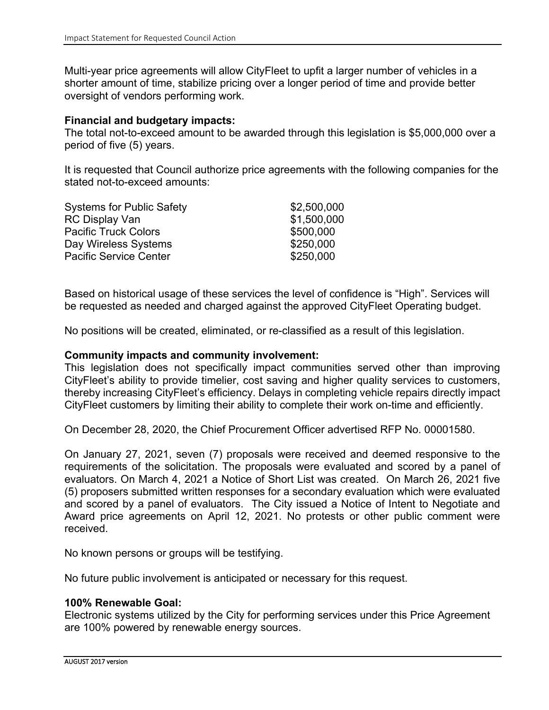Multi-year price agreements will allow CityFleet to upfit a larger number of vehicles in a shorter amount of time, stabilize pricing over a longer period of time and provide better oversight of vendors performing work.

#### **Financial and budgetary impacts:**

The total not-to-exceed amount to be awarded through this legislation is \$5,000,000 over a period of five (5) years.

It is requested that Council authorize price agreements with the following companies for the stated not-to-exceed amounts:

| <b>Systems for Public Safety</b> | \$2,500,000 |
|----------------------------------|-------------|
| <b>RC Display Van</b>            | \$1,500,000 |
| <b>Pacific Truck Colors</b>      | \$500,000   |
| Day Wireless Systems             | \$250,000   |
| <b>Pacific Service Center</b>    | \$250,000   |

Based on historical usage of these services the level of confidence is "High". Services will be requested as needed and charged against the approved CityFleet Operating budget.

No positions will be created, eliminated, or re-classified as a result of this legislation.

#### **Community impacts and community involvement:**

This legislation does not specifically impact communities served other than improving CityFleet's ability to provide timelier, cost saving and higher quality services to customers, thereby increasing CityFleet's efficiency. Delays in completing vehicle repairs directly impact CityFleet customers by limiting their ability to complete their work on-time and efficiently.

On December 28, 2020, the Chief Procurement Officer advertised RFP No. 00001580.

On January 27, 2021, seven (7) proposals were received and deemed responsive to the requirements of the solicitation. The proposals were evaluated and scored by a panel of evaluators. On March 4, 2021 a Notice of Short List was created. On March 26, 2021 five (5) proposers submitted written responses for a secondary evaluation which were evaluated and scored by a panel of evaluators. The City issued a Notice of Intent to Negotiate and Award price agreements on April 12, 2021. No protests or other public comment were received.

No known persons or groups will be testifying.

No future public involvement is anticipated or necessary for this request.

## **100% Renewable Goal:**

Electronic systems utilized by the City for performing services under this Price Agreement are 100% powered by renewable energy sources.